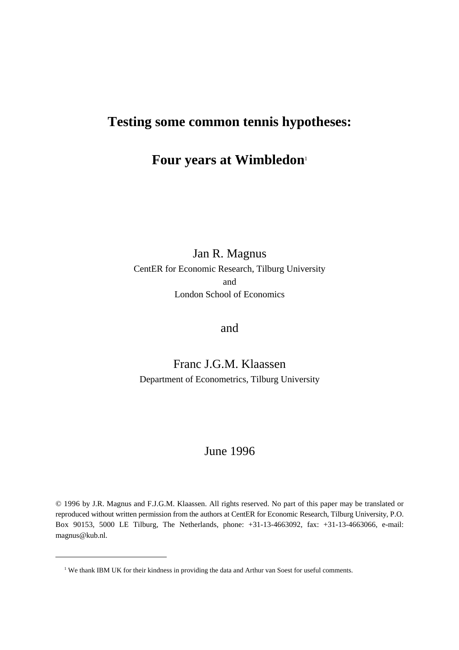# **Testing some common tennis hypotheses:**

## **Four years at Wimbledon**<sup>1</sup>

### Jan R. Magnus CentER for Economic Research, Tilburg University and London School of Economics

### and

### Franc J.G.M. Klaassen Department of Econometrics, Tilburg University

### June 1996

© 1996 by J.R. Magnus and F.J.G.M. Klaassen. All rights reserved. No part of this paper may be translated or reproduced without written permission from the authors at CentER for Economic Research, Tilburg University, P.O. Box 90153, 5000 LE Tilburg, The Netherlands, phone: +31-13-4663092, fax: +31-13-4663066, e-mail: magnus@kub.nl.

<sup>&</sup>lt;sup>1</sup> We thank IBM UK for their kindness in providing the data and Arthur van Soest for useful comments.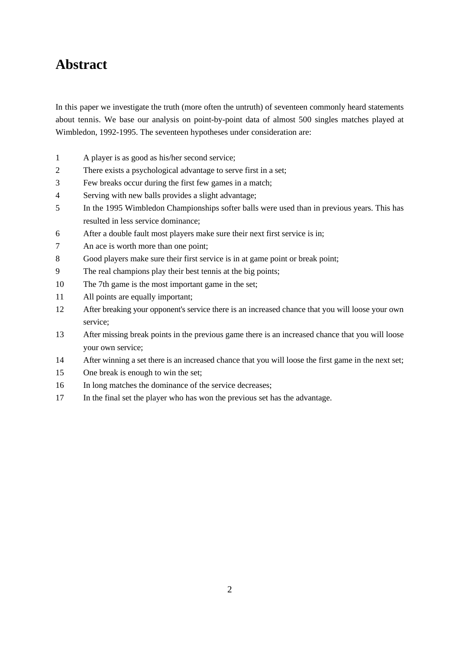## **Abstract**

In this paper we investigate the truth (more often the untruth) of seventeen commonly heard statements about tennis. We base our analysis on point-by-point data of almost 500 singles matches played at Wimbledon, 1992-1995. The seventeen hypotheses under consideration are:

- 1 A player is as good as his/her second service;
- 2 There exists a psychological advantage to serve first in a set;
- 3 Few breaks occur during the first few games in a match;
- 4 Serving with new balls provides a slight advantage;
- 5 In the 1995 Wimbledon Championships softer balls were used than in previous years. This has resulted in less service dominance;
- 6 After a double fault most players make sure their next first service is in;
- 7 An ace is worth more than one point;
- 8 Good players make sure their first service is in at game point or break point;
- 9 The real champions play their best tennis at the big points;
- 10 The 7th game is the most important game in the set;
- 11 All points are equally important;
- 12 After breaking your opponent's service there is an increased chance that you will loose your own service;
- 13 After missing break points in the previous game there is an increased chance that you will loose your own service;
- 14 After winning a set there is an increased chance that you will loose the first game in the next set;
- 15 One break is enough to win the set;
- 16 In long matches the dominance of the service decreases;
- 17 In the final set the player who has won the previous set has the advantage.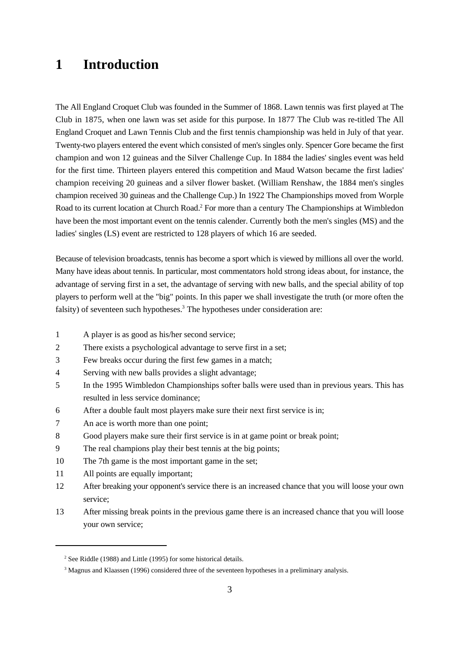## **1 Introduction**

The All England Croquet Club was founded in the Summer of 1868. Lawn tennis was first played at The Club in 1875, when one lawn was set aside for this purpose. In 1877 The Club was re-titled The All England Croquet and Lawn Tennis Club and the first tennis championship was held in July of that year. Twenty-two players entered the event which consisted of men's singles only. Spencer Gore became the first champion and won 12 guineas and the Silver Challenge Cup. In 1884 the ladies' singles event was held for the first time. Thirteen players entered this competition and Maud Watson became the first ladies' champion receiving 20 guineas and a silver flower basket. (William Renshaw, the 1884 men's singles champion received 30 guineas and the Challenge Cup.) In 1922 The Championships moved from Worple Road to its current location at Church Road.<sup>2</sup> For more than a century The Championships at Wimbledon have been the most important event on the tennis calender. Currently both the men's singles (MS) and the ladies' singles (LS) event are restricted to 128 players of which 16 are seeded.

Because of television broadcasts, tennis has become a sport which is viewed by millions all over the world. Many have ideas about tennis. In particular, most commentators hold strong ideas about, for instance, the advantage of serving first in a set, the advantage of serving with new balls, and the special ability of top players to perform well at the "big" points. In this paper we shall investigate the truth (or more often the falsity) of seventeen such hypotheses.<sup>3</sup> The hypotheses under consideration are:

- 1 A player is as good as his/her second service;
- 2 There exists a psychological advantage to serve first in a set;
- 3 Few breaks occur during the first few games in a match;
- 4 Serving with new balls provides a slight advantage;
- 5 In the 1995 Wimbledon Championships softer balls were used than in previous years. This has resulted in less service dominance;
- 6 After a double fault most players make sure their next first service is in;
- 7 An ace is worth more than one point;
- 8 Good players make sure their first service is in at game point or break point;
- 9 The real champions play their best tennis at the big points;
- 10 The 7th game is the most important game in the set;
- 11 All points are equally important;
- 12 After breaking your opponent's service there is an increased chance that you will loose your own service;
- 13 After missing break points in the previous game there is an increased chance that you will loose your own service;

 $2$  See Riddle (1988) and Little (1995) for some historical details.

<sup>&</sup>lt;sup>3</sup> Magnus and Klaassen (1996) considered three of the seventeen hypotheses in a preliminary analysis.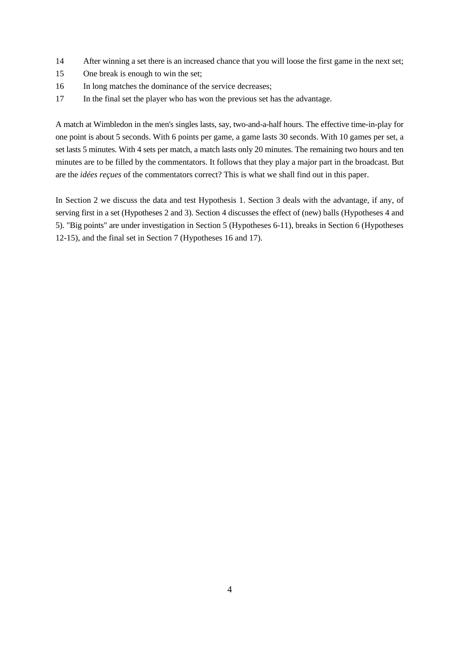- 14 After winning a set there is an increased chance that you will loose the first game in the next set;
- 15 One break is enough to win the set;
- 16 In long matches the dominance of the service decreases;
- 17 In the final set the player who has won the previous set has the advantage.

A match at Wimbledon in the men's singles lasts, say, two-and-a-half hours. The effective time-in-play for one point is about 5 seconds. With 6 points per game, a game lasts 30 seconds. With 10 games per set, a set lasts 5 minutes. With 4 sets per match, a match lasts only 20 minutes. The remaining two hours and ten minutes are to be filled by the commentators. It follows that they play a major part in the broadcast. But are the *idées reçues* of the commentators correct? This is what we shall find out in this paper.

In Section 2 we discuss the data and test Hypothesis 1. Section 3 deals with the advantage, if any, of serving first in a set (Hypotheses 2 and 3). Section 4 discusses the effect of (new) balls (Hypotheses 4 and 5). "Big points" are under investigation in Section 5 (Hypotheses 6-11), breaks in Section 6 (Hypotheses 12-15), and the final set in Section 7 (Hypotheses 16 and 17).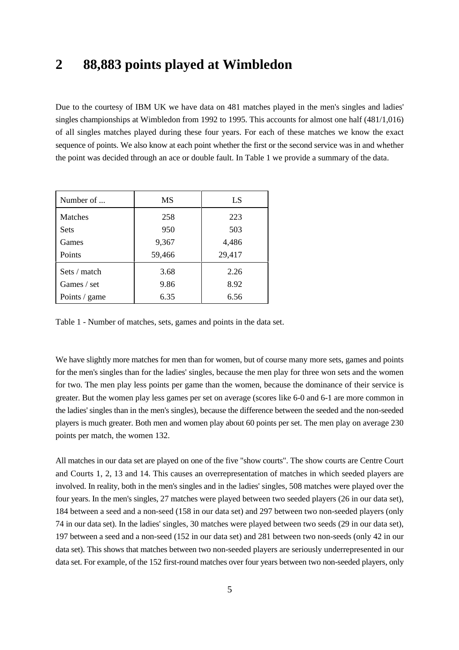## **2 88,883 points played at Wimbledon**

Due to the courtesy of IBM UK we have data on 481 matches played in the men's singles and ladies' singles championships at Wimbledon from 1992 to 1995. This accounts for almost one half (481/1,016) of all singles matches played during these four years. For each of these matches we know the exact sequence of points. We also know at each point whether the first or the second service was in and whether the point was decided through an ace or double fault. In Table 1 we provide a summary of the data.

| Number of      | MS     | LS     |
|----------------|--------|--------|
| <b>Matches</b> | 258    | 223    |
| <b>Sets</b>    | 950    | 503    |
| Games          | 9,367  | 4,486  |
| Points         | 59,466 | 29,417 |
| Sets / match   | 3.68   | 2.26   |
| Games / set    | 9.86   | 8.92   |
| Points / game  | 6.35   | 6.56   |

Table 1 - Number of matches, sets, games and points in the data set.

We have slightly more matches for men than for women, but of course many more sets, games and points for the men's singles than for the ladies' singles, because the men play for three won sets and the women for two. The men play less points per game than the women, because the dominance of their service is greater. But the women play less games per set on average (scores like 6-0 and 6-1 are more common in the ladies' singles than in the men's singles), because the difference between the seeded and the non-seeded players is much greater. Both men and women play about 60 points per set. The men play on average 230 points per match, the women 132.

All matches in our data set are played on one of the five "show courts". The show courts are Centre Court and Courts 1, 2, 13 and 14. This causes an overrepresentation of matches in which seeded players are involved. In reality, both in the men's singles and in the ladies' singles, 508 matches were played over the four years. In the men's singles, 27 matches were played between two seeded players (26 in our data set), 184 between a seed and a non-seed (158 in our data set) and 297 between two non-seeded players (only 74 in our data set). In the ladies' singles, 30 matches were played between two seeds (29 in our data set), 197 between a seed and a non-seed (152 in our data set) and 281 between two non-seeds (only 42 in our data set). This shows that matches between two non-seeded players are seriously underrepresented in our data set. For example, of the 152 first-round matches over four years between two non-seeded players, only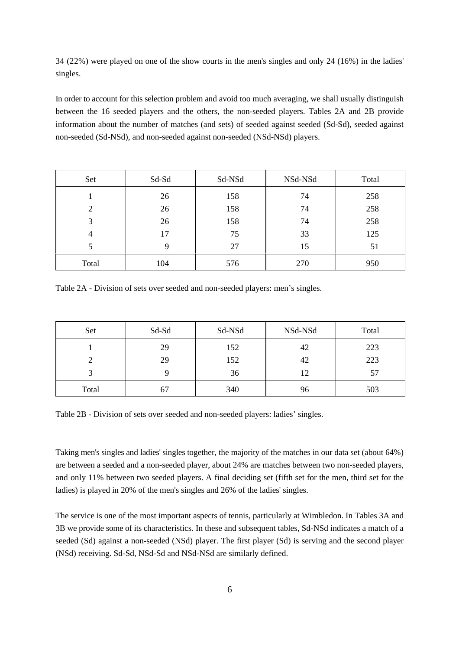34 (22%) were played on one of the show courts in the men's singles and only 24 (16%) in the ladies' singles.

In order to account for this selection problem and avoid too much averaging, we shall usually distinguish between the 16 seeded players and the others, the non-seeded players. Tables 2A and 2B provide information about the number of matches (and sets) of seeded against seeded (Sd-Sd), seeded against non-seeded (Sd-NSd), and non-seeded against non-seeded (NSd-NSd) players.

| Set            | Sd-Sd       | Sd-NSd | NSd-NSd | Total |
|----------------|-------------|--------|---------|-------|
|                | 26          | 158    | 74      | 258   |
| $\overline{2}$ | 26          | 158    | 74      | 258   |
| 3              | 26          | 158    | 74      | 258   |
| $\overline{4}$ | 17          | 75     | 33      | 125   |
| 5              | $\mathbf Q$ | 27     | 15      | 51    |
| Total          | 104         | 576    | 270     | 950   |

Table 2A - Division of sets over seeded and non-seeded players: men's singles.

| Set   | Sd-Sd | Sd-NSd | NSd-NSd | Total |
|-------|-------|--------|---------|-------|
|       | 29    | 152    | 42      | 223   |
|       | 29    | 152    | 42      | 223   |
|       |       | 36     | 12      | 57    |
| Total | 6.    | 340    | 96      | 503   |

Table 2B - Division of sets over seeded and non-seeded players: ladies' singles.

Taking men's singles and ladies' singles together, the majority of the matches in our data set (about 64%) are between a seeded and a non-seeded player, about 24% are matches between two non-seeded players, and only 11% between two seeded players. A final deciding set (fifth set for the men, third set for the ladies) is played in 20% of the men's singles and 26% of the ladies' singles.

The service is one of the most important aspects of tennis, particularly at Wimbledon. In Tables 3A and 3B we provide some of its characteristics. In these and subsequent tables, Sd-NSd indicates a match of a seeded (Sd) against a non-seeded (NSd) player. The first player (Sd) is serving and the second player (NSd) receiving. Sd-Sd, NSd-Sd and NSd-NSd are similarly defined.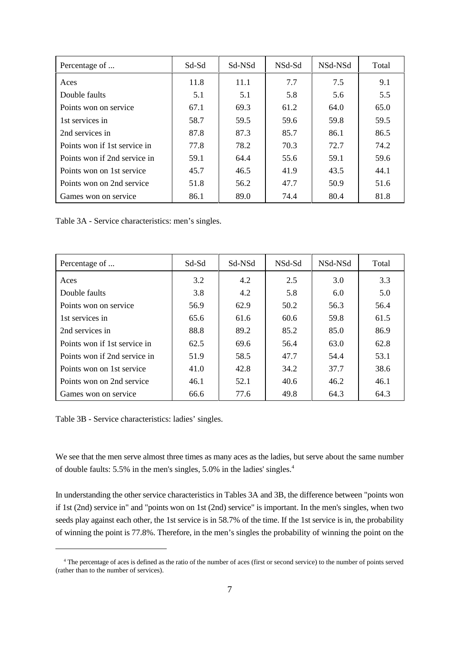| Percentage of                | Sd-Sd | Sd-NSd | NSd-Sd | NSd-NSd | Total |
|------------------------------|-------|--------|--------|---------|-------|
| Aces                         | 11.8  | 11.1   | 7.7    | 7.5     | 9.1   |
| Double faults                | 5.1   | 5.1    | 5.8    | 5.6     | 5.5   |
| Points won on service        | 67.1  | 69.3   | 61.2   | 64.0    | 65.0  |
| 1st services in              | 58.7  | 59.5   | 59.6   | 59.8    | 59.5  |
| 2nd services in              | 87.8  | 87.3   | 85.7   | 86.1    | 86.5  |
| Points won if 1st service in | 77.8  | 78.2   | 70.3   | 72.7    | 74.2  |
| Points won if 2nd service in | 59.1  | 64.4   | 55.6   | 59.1    | 59.6  |
| Points won on 1st service    | 45.7  | 46.5   | 41.9   | 43.5    | 44.1  |
| Points won on 2nd service    | 51.8  | 56.2   | 47.7   | 50.9    | 51.6  |
| Games won on service         | 86.1  | 89.0   | 74.4   | 80.4    | 81.8  |

Table 3A - Service characteristics: men's singles.

| Percentage of                | Sd-Sd | Sd-NSd | NSd-Sd | NSd-NSd | Total |
|------------------------------|-------|--------|--------|---------|-------|
| Aces                         | 3.2   | 4.2    | 2.5    | 3.0     | 3.3   |
| Double faults                | 3.8   | 4.2    | 5.8    | 6.0     | 5.0   |
| Points won on service        | 56.9  | 62.9   | 50.2   | 56.3    | 56.4  |
| 1st services in              | 65.6  | 61.6   | 60.6   | 59.8    | 61.5  |
| 2nd services in              | 88.8  | 89.2   | 85.2   | 85.0    | 86.9  |
| Points won if 1st service in | 62.5  | 69.6   | 56.4   | 63.0    | 62.8  |
| Points won if 2nd service in | 51.9  | 58.5   | 47.7   | 54.4    | 53.1  |
| Points won on 1st service    | 41.0  | 42.8   | 34.2   | 37.7    | 38.6  |
| Points won on 2nd service    | 46.1  | 52.1   | 40.6   | 46.2    | 46.1  |
| Games won on service         | 66.6  | 77.6   | 49.8   | 64.3    | 64.3  |

Table 3B - Service characteristics: ladies' singles.

We see that the men serve almost three times as many aces as the ladies, but serve about the same number of double faults: 5.5% in the men's singles, 5.0% in the ladies' singles.4

In understanding the other service characteristics in Tables 3A and 3B, the difference between "points won if 1st (2nd) service in" and "points won on 1st (2nd) service" is important. In the men's singles, when two seeds play against each other, the 1st service is in 58.7% of the time. If the 1st service is in, the probability of winning the point is 77.8%. Therefore, in the men's singles the probability of winning the point on the

<sup>&</sup>lt;sup>4</sup> The percentage of aces is defined as the ratio of the number of aces (first or second service) to the number of points served (rather than to the number of services).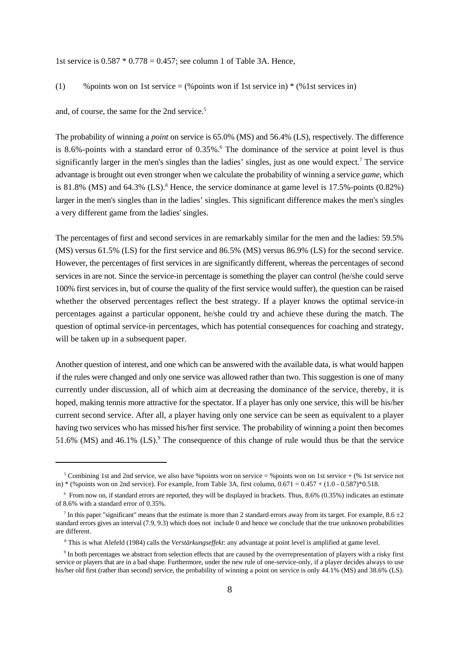1st service is  $0.587 * 0.778 = 0.457$ ; see column 1 of Table 3A. Hence,

(1) % points won on 1st service  $=$  (% points won if 1st service in)  $*$  (% 1st services in)

and, of course, the same for the 2nd service.<sup>5</sup>

The probability of winning a *point* on service is 65.0% (MS) and 56.4% (LS), respectively. The difference is 8.6%-points with a standard error of 0.35%.<sup>6</sup> The dominance of the service at point level is thus significantly larger in the men's singles than the ladies' singles, just as one would expect.<sup>7</sup> The service advantage is brought out even stronger when we calculate the probability of winning a service *game,* which is 81.8% (MS) and 64.3% (LS).<sup>8</sup> Hence, the service dominance at game level is  $17.5\%$ -points  $(0.82\%)$ larger in the men's singles than in the ladies' singles. This significant difference makes the men's singles a very different game from the ladies' singles.

The percentages of first and second services in are remarkably similar for the men and the ladies: 59.5% (MS) versus 61.5% (LS) for the first service and 86.5% (MS) versus 86.9% (LS) for the second service. However, the percentages of first services in are significantly different, whereas the percentages of second services in are not. Since the service-in percentage is something the player can control (he/she could serve 100% first services in, but of course the quality of the first service would suffer), the question can be raised whether the observed percentages reflect the best strategy. If a player knows the optimal service-in percentages against a particular opponent, he/she could try and achieve these during the match. The question of optimal service-in percentages, which has potential consequences for coaching and strategy, will be taken up in a subsequent paper.

Another question of interest, and one which can be answered with the available data, is what would happen if the rules were changed and only one service was allowed rather than two. This suggestion is one of many currently under discussion, all of which aim at decreasing the dominance of the service, thereby, it is hoped, making tennis more attractive for the spectator. If a player has only one service, this will be his/her current second service. After all, a player having only one service can be seen as equivalent to a player having two services who has missed his/her first service. The probability of winning a point then becomes 51.6% (MS) and 46.1% (LS).<sup>9</sup> The consequence of this change of rule would thus be that the service

<sup>&</sup>lt;sup>5</sup> Combining 1st and 2nd service, we also have %points won on service = %points won on 1st service + (% 1st service not in) \* (% points won on 2nd service). For example, from Table 3A, first column,  $0.671 = 0.457 + (1.0 - 0.587) *0.518$ .

 $6$  From now on, if standard errors are reported, they will be displayed in brackets. Thus, 8.6% (0.35%) indicates an estimate of 8.6% with a standard error of 0.35%.

<sup>&</sup>lt;sup>7</sup> In this paper "significant" means that the estimate is more than 2 standard errors away from its target. For example, 8.6  $\pm 2$ standard errors gives an interval (7.9, 9.3) which does not include 0 and hence we conclude that the true unknown probabilities are different.

This is what Alefeld (1984) calls the *Verstärkungseffekt*: any advantage at point level is amplified at game level. <sup>8</sup>

<sup>&</sup>lt;sup>9</sup> In both percentages we abstract from selection effects that are caused by the overrepresentation of players with a risky first service or players that are in a bad shape. Furthermore, under the new rule of one-service-only, if a player decides always to use his/her old first (rather than second) service, the probability of winning a point on service is only 44.1% (MS) and 38.6% (LS).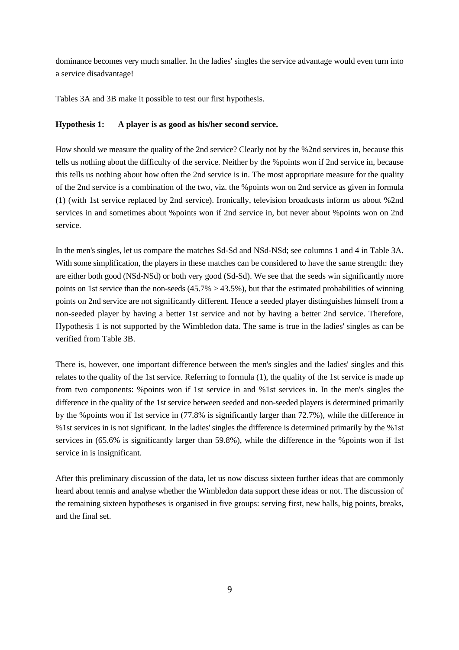dominance becomes very much smaller. In the ladies' singles the service advantage would even turn into a service disadvantage!

Tables 3A and 3B make it possible to test our first hypothesis.

#### **Hypothesis 1: A player is as good as his/her second service.**

How should we measure the quality of the 2nd service? Clearly not by the %2nd services in, because this tells us nothing about the difficulty of the service. Neither by the %points won if 2nd service in, because this tells us nothing about how often the 2nd service is in. The most appropriate measure for the quality of the 2nd service is a combination of the two, viz. the %points won on 2nd service as given in formula (1) (with 1st service replaced by 2nd service). Ironically, television broadcasts inform us about %2nd services in and sometimes about %points won if 2nd service in, but never about %points won on 2nd service.

In the men's singles, let us compare the matches Sd-Sd and NSd-NSd; see columns 1 and 4 in Table 3A. With some simplification, the players in these matches can be considered to have the same strength: they are either both good (NSd-NSd) or both very good (Sd-Sd). We see that the seeds win significantly more points on 1st service than the non-seeds  $(45.7\% > 43.5\%)$ , but that the estimated probabilities of winning points on 2nd service are not significantly different. Hence a seeded player distinguishes himself from a non-seeded player by having a better 1st service and not by having a better 2nd service. Therefore, Hypothesis 1 is not supported by the Wimbledon data. The same is true in the ladies' singles as can be verified from Table 3B.

There is, however, one important difference between the men's singles and the ladies' singles and this relates to the quality of the 1st service. Referring to formula (1), the quality of the 1st service is made up from two components: %points won if 1st service in and %1st services in. In the men's singles the difference in the quality of the 1st service between seeded and non-seeded players is determined primarily by the %points won if 1st service in (77.8% is significantly larger than 72.7%), while the difference in %1st services in is not significant. In the ladies' singles the difference is determined primarily by the %1st services in (65.6% is significantly larger than 59.8%), while the difference in the %points won if 1st service in is insignificant.

After this preliminary discussion of the data, let us now discuss sixteen further ideas that are commonly heard about tennis and analyse whether the Wimbledon data support these ideas or not. The discussion of the remaining sixteen hypotheses is organised in five groups: serving first, new balls, big points, breaks, and the final set.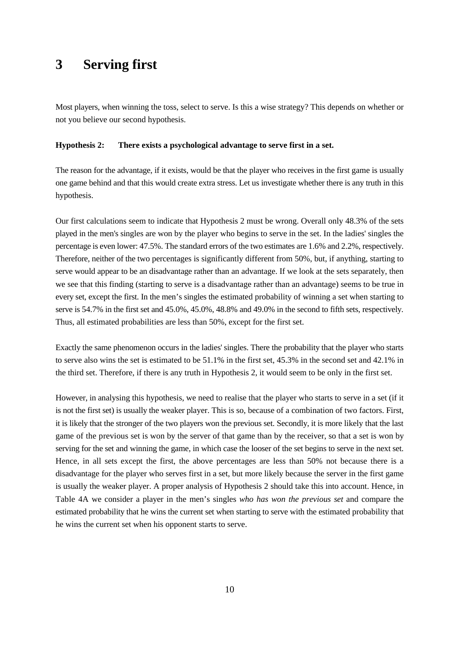## **3 Serving first**

Most players, when winning the toss, select to serve. Is this a wise strategy? This depends on whether or not you believe our second hypothesis.

#### **Hypothesis 2: There exists a psychological advantage to serve first in a set.**

The reason for the advantage, if it exists, would be that the player who receives in the first game is usually one game behind and that this would create extra stress. Let us investigate whether there is any truth in this hypothesis.

Our first calculations seem to indicate that Hypothesis 2 must be wrong. Overall only 48.3% of the sets played in the men's singles are won by the player who begins to serve in the set. In the ladies' singles the percentage is even lower: 47.5%. The standard errors of the two estimates are 1.6% and 2.2%, respectively. Therefore, neither of the two percentages is significantly different from 50%, but, if anything, starting to serve would appear to be an disadvantage rather than an advantage. If we look at the sets separately, then we see that this finding (starting to serve is a disadvantage rather than an advantage) seems to be true in every set, except the first. In the men's singles the estimated probability of winning a set when starting to serve is 54.7% in the first set and 45.0%, 45.0%, 48.8% and 49.0% in the second to fifth sets, respectively. Thus, all estimated probabilities are less than 50%, except for the first set.

Exactly the same phenomenon occurs in the ladies' singles. There the probability that the player who starts to serve also wins the set is estimated to be 51.1% in the first set, 45.3% in the second set and 42.1% in the third set. Therefore, if there is any truth in Hypothesis 2, it would seem to be only in the first set.

However, in analysing this hypothesis, we need to realise that the player who starts to serve in a set (if it is not the first set) is usually the weaker player. This is so, because of a combination of two factors. First, it is likely that the stronger of the two players won the previous set. Secondly, it is more likely that the last game of the previous set is won by the server of that game than by the receiver, so that a set is won by serving for the set and winning the game, in which case the looser of the set begins to serve in the next set. Hence, in all sets except the first, the above percentages are less than 50% not because there is a disadvantage for the player who serves first in a set, but more likely because the server in the first game is usually the weaker player. A proper analysis of Hypothesis 2 should take this into account. Hence, in Table 4A we consider a player in the men's singles *who has won the previous set* and compare the estimated probability that he wins the current set when starting to serve with the estimated probability that he wins the current set when his opponent starts to serve.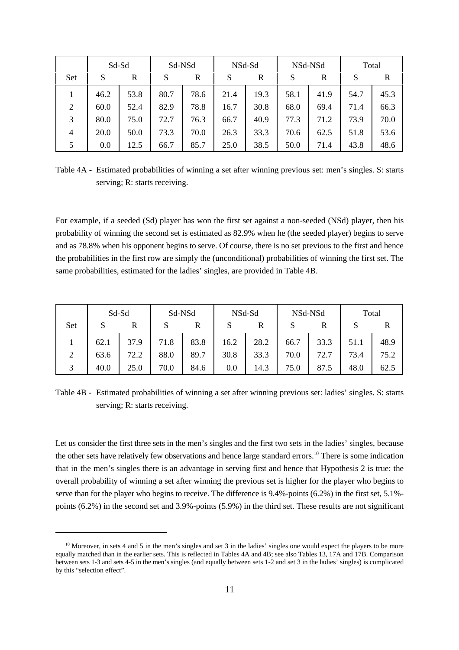|                | Sd-Sd |      | Sd-NSd |      | NSd-Sd |      | NSd-NSd |      | Total |      |
|----------------|-------|------|--------|------|--------|------|---------|------|-------|------|
| Set            | S     | R    | S      | R    | S      | R    | S       | R    | S     | R    |
|                | 46.2  | 53.8 | 80.7   | 78.6 | 21.4   | 19.3 | 58.1    | 41.9 | 54.7  | 45.3 |
| $\overline{2}$ | 60.0  | 52.4 | 82.9   | 78.8 | 16.7   | 30.8 | 68.0    | 69.4 | 71.4  | 66.3 |
| 3              | 80.0  | 75.0 | 72.7   | 76.3 | 66.7   | 40.9 | 77.3    | 71.2 | 73.9  | 70.0 |
| $\overline{4}$ | 20.0  | 50.0 | 73.3   | 70.0 | 26.3   | 33.3 | 70.6    | 62.5 | 51.8  | 53.6 |
| 5              | 0.0   | 12.5 | 66.7   | 85.7 | 25.0   | 38.5 | 50.0    | 71.4 | 43.8  | 48.6 |

Table 4A - Estimated probabilities of winning a set after winning previous set: men's singles. S: starts serving; R: starts receiving.

For example, if a seeded (Sd) player has won the first set against a non-seeded (NSd) player, then his probability of winning the second set is estimated as 82.9% when he (the seeded player) begins to serve and as 78.8% when his opponent begins to serve. Of course, there is no set previous to the first and hence the probabilities in the first row are simply the (unconditional) probabilities of winning the first set. The same probabilities, estimated for the ladies' singles, are provided in Table 4B.

|                | Sd-Sd |      | Sd-NSd |      | NSd-Sd |      | NSd-NSd |      | Total |      |
|----------------|-------|------|--------|------|--------|------|---------|------|-------|------|
| Set            | S     |      |        | R    |        | R    |         | R    | S     |      |
|                | 62.1  | 37.9 | 71.8   | 83.8 | 16.2   | 28.2 | 66.7    | 33.3 | 51.1  | 48.9 |
| $\overline{2}$ | 63.6  | 72.2 | 88.0   | 89.7 | 30.8   | 33.3 | 70.0    | 72.7 | 73.4  | 75.2 |
| 3              | 40.0  | 25.0 | 70.0   | 84.6 | 0.0    | 14.3 | 75.0    | 87.5 | 48.0  | 62.5 |

Table 4B - Estimated probabilities of winning a set after winning previous set: ladies' singles. S: starts serving; R: starts receiving.

Let us consider the first three sets in the men's singles and the first two sets in the ladies' singles, because the other sets have relatively few observations and hence large standard errors.<sup>10</sup> There is some indication that in the men's singles there is an advantage in serving first and hence that Hypothesis 2 is true: the overall probability of winning a set after winning the previous set is higher for the player who begins to serve than for the player who begins to receive. The difference is 9.4%-points (6.2%) in the first set, 5.1% points (6.2%) in the second set and 3.9%-points (5.9%) in the third set. These results are not significant

 $10$  Moreover, in sets 4 and 5 in the men's singles and set 3 in the ladies' singles one would expect the players to be more equally matched than in the earlier sets. This is reflected in Tables 4A and 4B; see also Tables 13, 17A and 17B. Comparison between sets 1-3 and sets 4-5 in the men's singles (and equally between sets 1-2 and set 3 in the ladies' singles) is complicated by this "selection effect".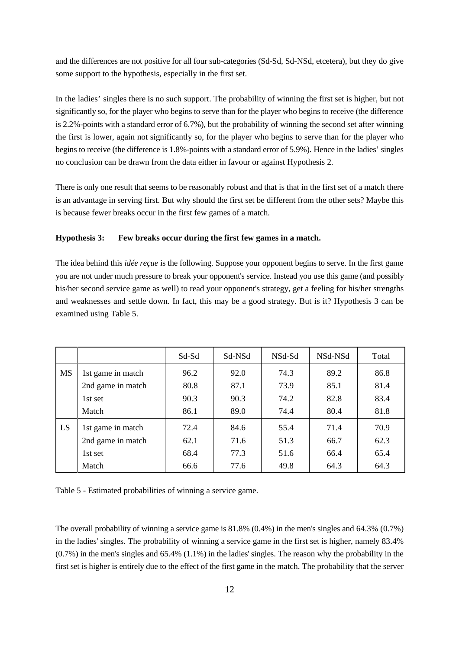and the differences are not positive for all four sub-categories (Sd-Sd, Sd-NSd, etcetera), but they do give some support to the hypothesis, especially in the first set.

In the ladies' singles there is no such support. The probability of winning the first set is higher, but not significantly so, for the player who begins to serve than for the player who begins to receive (the difference is 2.2%-points with a standard error of 6.7%), but the probability of winning the second set after winning the first is lower, again not significantly so, for the player who begins to serve than for the player who begins to receive (the difference is 1.8%-points with a standard error of 5.9%). Hence in the ladies' singles no conclusion can be drawn from the data either in favour or against Hypothesis 2.

There is only one result that seems to be reasonably robust and that is that in the first set of a match there is an advantage in serving first. But why should the first set be different from the other sets? Maybe this is because fewer breaks occur in the first few games of a match.

#### **Hypothesis 3: Few breaks occur during the first few games in a match.**

The idea behind this *idée reçue* is the following. Suppose your opponent begins to serve. In the first game you are not under much pressure to break your opponent's service. Instead you use this game (and possibly his/her second service game as well) to read your opponent's strategy, get a feeling for his/her strengths and weaknesses and settle down. In fact, this may be a good strategy. But is it? Hypothesis 3 can be examined using Table 5.

|           |                   | Sd-Sd | Sd-NSd | NSd-Sd | NSd-NSd | Total |
|-----------|-------------------|-------|--------|--------|---------|-------|
| <b>MS</b> | 1st game in match | 96.2  | 92.0   | 74.3   | 89.2    | 86.8  |
|           | 2nd game in match | 80.8  | 87.1   | 73.9   | 85.1    | 81.4  |
|           | 1st set           | 90.3  | 90.3   | 74.2   | 82.8    | 83.4  |
|           | Match             | 86.1  | 89.0   | 74.4   | 80.4    | 81.8  |
| LS        | 1st game in match | 72.4  | 84.6   | 55.4   | 71.4    | 70.9  |
|           | 2nd game in match | 62.1  | 71.6   | 51.3   | 66.7    | 62.3  |
|           | 1st set           | 68.4  | 77.3   | 51.6   | 66.4    | 65.4  |
|           | Match             | 66.6  | 77.6   | 49.8   | 64.3    | 64.3  |

Table 5 - Estimated probabilities of winning a service game.

The overall probability of winning a service game is 81.8% (0.4%) in the men's singles and 64.3% (0.7%) in the ladies' singles. The probability of winning a service game in the first set is higher, namely 83.4% (0.7%) in the men's singles and 65.4% (1.1%) in the ladies' singles. The reason why the probability in the first set is higher is entirely due to the effect of the first game in the match. The probability that the server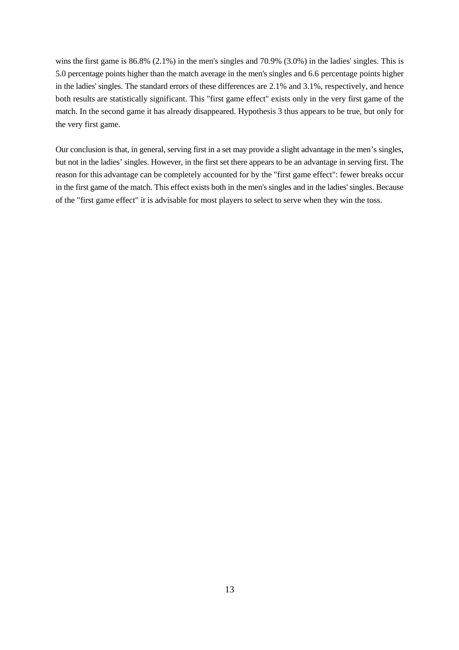wins the first game is 86.8% (2.1%) in the men's singles and 70.9% (3.0%) in the ladies' singles. This is 5.0 percentage points higher than the match average in the men's singles and 6.6 percentage points higher in the ladies' singles. The standard errors of these differences are 2.1% and 3.1%, respectively, and hence both results are statistically significant. This "first game effect" exists only in the very first game of the match. In the second game it has already disappeared. Hypothesis 3 thus appears to be true, but only for the very first game.

Our conclusion is that, in general, serving first in a set may provide a slight advantage in the men's singles, but not in the ladies' singles. However, in the first set there appears to be an advantage in serving first. The reason for this advantage can be completely accounted for by the "first game effect": fewer breaks occur in the first game of the match. This effect exists both in the men's singles and in the ladies' singles. Because of the "first game effect" it is advisable for most players to select to serve when they win the toss.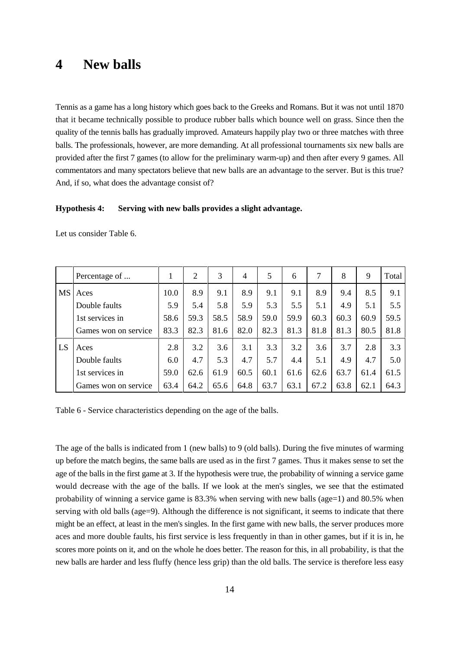### **4 New balls**

Tennis as a game has a long history which goes back to the Greeks and Romans. But it was not until 1870 that it became technically possible to produce rubber balls which bounce well on grass. Since then the quality of the tennis balls has gradually improved. Amateurs happily play two or three matches with three balls. The professionals, however, are more demanding. At all professional tournaments six new balls are provided after the first 7 games (to allow for the preliminary warm-up) and then after every 9 games. All commentators and many spectators believe that new balls are an advantage to the server. But is this true? And, if so, what does the advantage consist of?

#### **Hypothesis 4: Serving with new balls provides a slight advantage.**

|    | Percentage of        | $\mathbf{I}$ | 2    | 3    | 4    | 5    | 6    | 7    | 8    | 9    | Total |
|----|----------------------|--------------|------|------|------|------|------|------|------|------|-------|
| MS | Aces                 | 10.0         | 8.9  | 9.1  | 8.9  | 9.1  | 9.1  | 8.9  | 9.4  | 8.5  | 9.1   |
|    | Double faults        | 5.9          | 5.4  | 5.8  | 5.9  | 5.3  | 5.5  | 5.1  | 4.9  | 5.1  | 5.5   |
|    | 1st services in      | 58.6         | 59.3 | 58.5 | 58.9 | 59.0 | 59.9 | 60.3 | 60.3 | 60.9 | 59.5  |
|    | Games won on service | 83.3         | 82.3 | 81.6 | 82.0 | 82.3 | 81.3 | 81.8 | 81.3 | 80.5 | 81.8  |
| LS | Aces                 | 2.8          | 3.2  | 3.6  | 3.1  | 3.3  | 3.2  | 3.6  | 3.7  | 2.8  | 3.3   |
|    | Double faults        | 6.0          | 4.7  | 5.3  | 4.7  | 5.7  | 4.4  | 5.1  | 4.9  | 4.7  | 5.0   |
|    | 1st services in      | 59.0         | 62.6 | 61.9 | 60.5 | 60.1 | 61.6 | 62.6 | 63.7 | 61.4 | 61.5  |
|    | Games won on service | 63.4         | 64.2 | 65.6 | 64.8 | 63.7 | 63.1 | 67.2 | 63.8 | 62.1 | 64.3  |

Let us consider Table 6.

Table 6 - Service characteristics depending on the age of the balls.

The age of the balls is indicated from 1 (new balls) to 9 (old balls). During the five minutes of warming up before the match begins, the same balls are used as in the first 7 games. Thus it makes sense to set the age of the balls in the first game at 3. If the hypothesis were true, the probability of winning a service game would decrease with the age of the balls. If we look at the men's singles, we see that the estimated probability of winning a service game is  $83.3\%$  when serving with new balls (age=1) and  $80.5\%$  when serving with old balls (age=9). Although the difference is not significant, it seems to indicate that there might be an effect, at least in the men's singles. In the first game with new balls, the server produces more aces and more double faults, his first service is less frequently in than in other games, but if it is in, he scores more points on it, and on the whole he does better. The reason for this, in all probability, is that the new balls are harder and less fluffy (hence less grip) than the old balls. The service is therefore less easy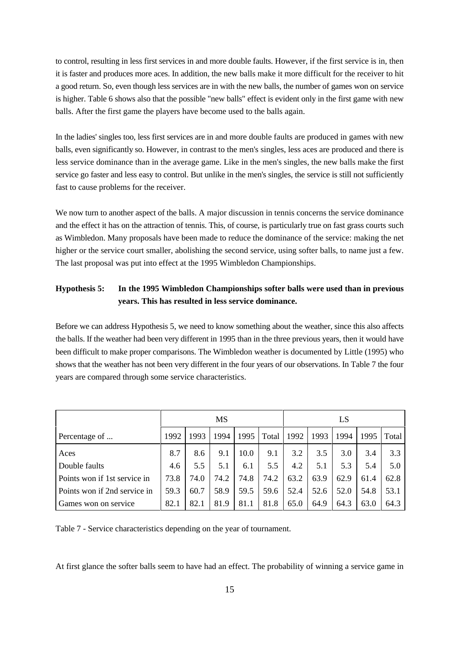to control, resulting in less first services in and more double faults. However, if the first service is in, then it is faster and produces more aces. In addition, the new balls make it more difficult for the receiver to hit a good return. So, even though less services are in with the new balls, the number of games won on service is higher. Table 6 shows also that the possible "new balls" effect is evident only in the first game with new balls. After the first game the players have become used to the balls again.

In the ladies' singles too, less first services are in and more double faults are produced in games with new balls, even significantly so. However, in contrast to the men's singles, less aces are produced and there is less service dominance than in the average game. Like in the men's singles, the new balls make the first service go faster and less easy to control. But unlike in the men's singles, the service is still not sufficiently fast to cause problems for the receiver.

We now turn to another aspect of the balls. A major discussion in tennis concerns the service dominance and the effect it has on the attraction of tennis. This, of course, is particularly true on fast grass courts such as Wimbledon. Many proposals have been made to reduce the dominance of the service: making the net higher or the service court smaller, abolishing the second service, using softer balls, to name just a few. The last proposal was put into effect at the 1995 Wimbledon Championships.

### **Hypothesis 5: In the 1995 Wimbledon Championships softer balls were used than in previous years. This has resulted in less service dominance.**

Before we can address Hypothesis 5, we need to know something about the weather, since this also affects the balls. If the weather had been very different in 1995 than in the three previous years, then it would have been difficult to make proper comparisons. The Wimbledon weather is documented by Little (1995) who shows that the weather has not been very different in the four years of our observations. In Table 7 the four years are compared through some service characteristics.

|                              |      | MS   |      |      |       |      | LS   |      |      |       |
|------------------------------|------|------|------|------|-------|------|------|------|------|-------|
| Percentage of                | 1992 | 1993 | 1994 | 1995 | Total | 1992 | 1993 | 1994 | 1995 | Total |
| Aces                         | 8.7  | 8.6  | 9.1  | 10.0 | 9.1   | 3.2  | 3.5  | 3.0  | 3.4  | 3.3   |
| Double faults                | 4.6  | 5.5  | 5.1  | 6.1  | 5.5   | 4.2  | 5.1  | 5.3  | 5.4  | 5.0   |
| Points won if 1st service in | 73.8 | 74.0 | 74.2 | 74.8 | 74.2  | 63.2 | 63.9 | 62.9 | 61.4 | 62.8  |
| Points won if 2nd service in | 59.3 | 60.7 | 58.9 | 59.5 | 59.6  | 52.4 | 52.6 | 52.0 | 54.8 | 53.1  |
| Games won on service         | 82.1 | 82.1 | 81.9 | 81.1 | 81.8  | 65.0 | 64.9 | 64.3 | 63.0 | 64.3  |

Table 7 - Service characteristics depending on the year of tournament.

At first glance the softer balls seem to have had an effect. The probability of winning a service game in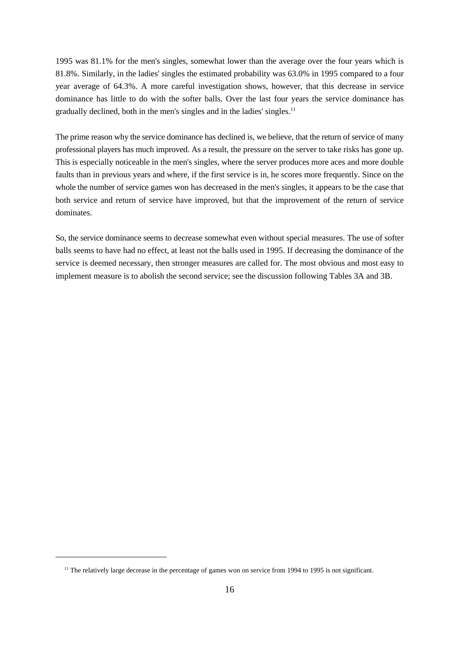1995 was 81.1% for the men's singles, somewhat lower than the average over the four years which is 81.8%. Similarly, in the ladies' singles the estimated probability was 63.0% in 1995 compared to a four year average of 64.3%. A more careful investigation shows, however, that this decrease in service dominance has little to do with the softer balls. Over the last four years the service dominance has gradually declined, both in the men's singles and in the ladies' singles.<sup>11</sup>

The prime reason why the service dominance has declined is, we believe, that the return of service of many professional players has much improved. As a result, the pressure on the server to take risks has gone up. This is especially noticeable in the men's singles, where the server produces more aces and more double faults than in previous years and where, if the first service is in, he scores more frequently. Since on the whole the number of service games won has decreased in the men's singles, it appears to be the case that both service and return of service have improved, but that the improvement of the return of service dominates.

So, the service dominance seems to decrease somewhat even without special measures. The use of softer balls seems to have had no effect, at least not the balls used in 1995. If decreasing the dominance of the service is deemed necessary, then stronger measures are called for. The most obvious and most easy to implement measure is to abolish the second service; see the discussion following Tables 3A and 3B.

 $<sup>11</sup>$  The relatively large decrease in the percentage of games won on service from 1994 to 1995 is not significant.</sup>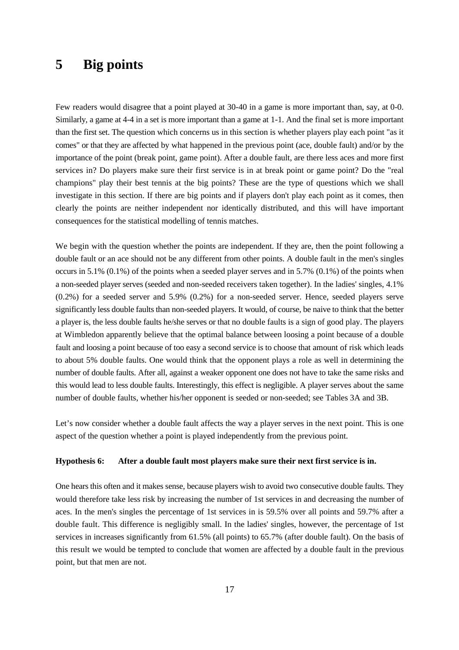## **5 Big points**

Few readers would disagree that a point played at 30-40 in a game is more important than, say, at 0-0. Similarly, a game at 4-4 in a set is more important than a game at 1-1. And the final set is more important than the first set. The question which concerns us in this section is whether players play each point "as it comes" or that they are affected by what happened in the previous point (ace, double fault) and/or by the importance of the point (break point, game point). After a double fault, are there less aces and more first services in? Do players make sure their first service is in at break point or game point? Do the "real champions" play their best tennis at the big points? These are the type of questions which we shall investigate in this section. If there are big points and if players don't play each point as it comes, then clearly the points are neither independent nor identically distributed, and this will have important consequences for the statistical modelling of tennis matches.

We begin with the question whether the points are independent. If they are, then the point following a double fault or an ace should not be any different from other points. A double fault in the men's singles occurs in 5.1% (0.1%) of the points when a seeded player serves and in 5.7% (0.1%) of the points when a non-seeded player serves (seeded and non-seeded receivers taken together). In the ladies' singles, 4.1% (0.2%) for a seeded server and 5.9% (0.2%) for a non-seeded server. Hence, seeded players serve significantly less double faults than non-seeded players. It would, of course, be naive to think that the better a player is, the less double faults he/she serves or that no double faults is a sign of good play. The players at Wimbledon apparently believe that the optimal balance between loosing a point because of a double fault and loosing a point because of too easy a second service is to choose that amount of risk which leads to about 5% double faults. One would think that the opponent plays a role as well in determining the number of double faults. After all, against a weaker opponent one does not have to take the same risks and this would lead to less double faults. Interestingly, this effect is negligible. A player serves about the same number of double faults, whether his/her opponent is seeded or non-seeded; see Tables 3A and 3B.

Let's now consider whether a double fault affects the way a player serves in the next point. This is one aspect of the question whether a point is played independently from the previous point.

#### **Hypothesis 6: After a double fault most players make sure their next first service is in.**

One hears this often and it makes sense, because players wish to avoid two consecutive double faults. They would therefore take less risk by increasing the number of 1st services in and decreasing the number of aces. In the men's singles the percentage of 1st services in is 59.5% over all points and 59.7% after a double fault. This difference is negligibly small. In the ladies' singles, however, the percentage of 1st services in increases significantly from 61.5% (all points) to 65.7% (after double fault). On the basis of this result we would be tempted to conclude that women are affected by a double fault in the previous point, but that men are not.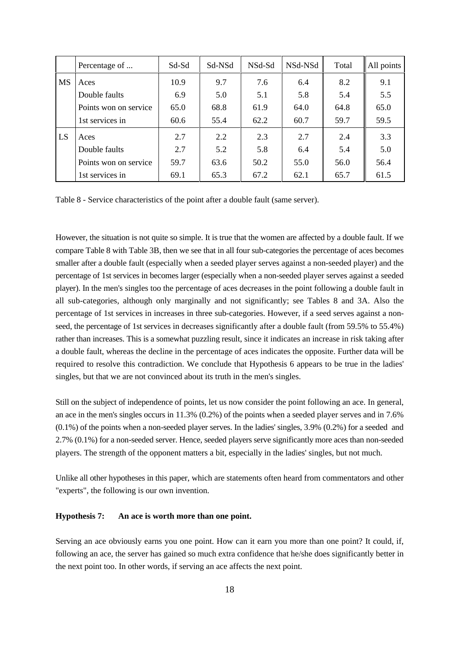|           | Percentage of         | Sd-Sd | Sd-NSd | NSd-Sd | NSd-NSd | Total | All points |
|-----------|-----------------------|-------|--------|--------|---------|-------|------------|
| <b>MS</b> | Aces                  | 10.9  | 9.7    | 7.6    | 6.4     | 8.2   | 9.1        |
|           | Double faults         | 6.9   | 5.0    | 5.1    | 5.8     | 5.4   | 5.5        |
|           | Points won on service | 65.0  | 68.8   | 61.9   | 64.0    | 64.8  | 65.0       |
|           | 1st services in       | 60.6  | 55.4   | 62.2   | 60.7    | 59.7  | 59.5       |
| LS        | Aces                  | 2.7   | 2.2    | 2.3    | 2.7     | 2.4   | 3.3        |
|           | Double faults         | 2.7   | 5.2    | 5.8    | 6.4     | 5.4   | 5.0        |
|           | Points won on service | 59.7  | 63.6   | 50.2   | 55.0    | 56.0  | 56.4       |
|           | 1st services in       | 69.1  | 65.3   | 67.2   | 62.1    | 65.7  | 61.5       |

Table 8 - Service characteristics of the point after a double fault (same server).

However, the situation is not quite so simple. It is true that the women are affected by a double fault. If we compare Table 8 with Table 3B, then we see that in all four sub-categories the percentage of aces becomes smaller after a double fault (especially when a seeded player serves against a non-seeded player) and the percentage of 1st services in becomes larger (especially when a non-seeded player serves against a seeded player). In the men's singles too the percentage of aces decreases in the point following a double fault in all sub-categories, although only marginally and not significantly; see Tables 8 and 3A. Also the percentage of 1st services in increases in three sub-categories. However, if a seed serves against a nonseed, the percentage of 1st services in decreases significantly after a double fault (from 59.5% to 55.4%) rather than increases. This is a somewhat puzzling result, since it indicates an increase in risk taking after a double fault, whereas the decline in the percentage of aces indicates the opposite. Further data will be required to resolve this contradiction. We conclude that Hypothesis 6 appears to be true in the ladies' singles, but that we are not convinced about its truth in the men's singles.

Still on the subject of independence of points, let us now consider the point following an ace. In general, an ace in the men's singles occurs in 11.3% (0.2%) of the points when a seeded player serves and in 7.6% (0.1%) of the points when a non-seeded player serves. In the ladies' singles, 3.9% (0.2%) for a seeded and 2.7% (0.1%) for a non-seeded server. Hence, seeded players serve significantly more aces than non-seeded players. The strength of the opponent matters a bit, especially in the ladies' singles, but not much.

Unlike all other hypotheses in this paper, which are statements often heard from commentators and other "experts", the following is our own invention.

#### **Hypothesis 7: An ace is worth more than one point.**

Serving an ace obviously earns you one point. How can it earn you more than one point? It could, if, following an ace, the server has gained so much extra confidence that he/she does significantly better in the next point too. In other words, if serving an ace affects the next point.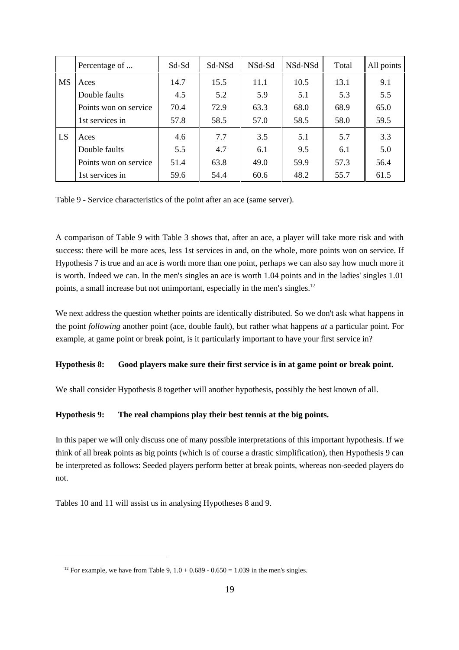|           | Percentage of         | Sd-Sd | Sd-NSd | NSd-Sd | NSd-NSd | Total | All points |
|-----------|-----------------------|-------|--------|--------|---------|-------|------------|
| <b>MS</b> | Aces                  | 14.7  | 15.5   | 11.1   | 10.5    | 13.1  | 9.1        |
|           | Double faults         | 4.5   | 5.2    | 5.9    | 5.1     | 5.3   | 5.5        |
|           | Points won on service | 70.4  | 72.9   | 63.3   | 68.0    | 68.9  | 65.0       |
|           | 1st services in       | 57.8  | 58.5   | 57.0   | 58.5    | 58.0  | 59.5       |
| LS        | Aces                  | 4.6   | 7.7    | 3.5    | 5.1     | 5.7   | 3.3        |
|           | Double faults         | 5.5   | 4.7    | 6.1    | 9.5     | 6.1   | 5.0        |
|           | Points won on service | 51.4  | 63.8   | 49.0   | 59.9    | 57.3  | 56.4       |
|           | 1st services in       | 59.6  | 54.4   | 60.6   | 48.2    | 55.7  | 61.5       |

Table 9 - Service characteristics of the point after an ace (same server).

A comparison of Table 9 with Table 3 shows that, after an ace, a player will take more risk and with success: there will be more aces, less 1st services in and, on the whole, more points won on service. If Hypothesis 7 is true and an ace is worth more than one point, perhaps we can also say how much more it is worth. Indeed we can. In the men's singles an ace is worth 1.04 points and in the ladies' singles 1.01 points, a small increase but not unimportant, especially in the men's singles.<sup>12</sup>

We next address the question whether points are identically distributed. So we don't ask what happens in the point *following* another point (ace, double fault), but rather what happens *at* a particular point. For example, at game point or break point, is it particularly important to have your first service in?

#### **Hypothesis 8: Good players make sure their first service is in at game point or break point.**

We shall consider Hypothesis 8 together will another hypothesis, possibly the best known of all.

#### **Hypothesis 9: The real champions play their best tennis at the big points.**

In this paper we will only discuss one of many possible interpretations of this important hypothesis. If we think of all break points as big points (which is of course a drastic simplification), then Hypothesis 9 can be interpreted as follows: Seeded players perform better at break points, whereas non-seeded players do not.

Tables 10 and 11 will assist us in analysing Hypotheses 8 and 9.

<sup>&</sup>lt;sup>12</sup> For example, we have from Table 9,  $1.0 + 0.689 - 0.650 = 1.039$  in the men's singles.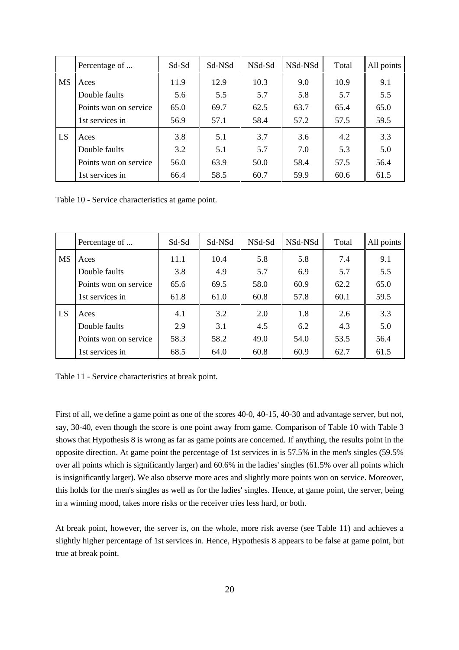|           | Percentage of         | Sd-Sd | Sd-NSd | NSd-Sd | NSd-NSd | Total | All points |
|-----------|-----------------------|-------|--------|--------|---------|-------|------------|
| <b>MS</b> | Aces                  | 11.9  | 12.9   | 10.3   | 9.0     | 10.9  | 9.1        |
|           | Double faults         | 5.6   | 5.5    | 5.7    | 5.8     | 5.7   | 5.5        |
|           | Points won on service | 65.0  | 69.7   | 62.5   | 63.7    | 65.4  | 65.0       |
|           | 1st services in       | 56.9  | 57.1   | 58.4   | 57.2    | 57.5  | 59.5       |
| LS        | Aces                  | 3.8   | 5.1    | 3.7    | 3.6     | 4.2   | 3.3        |
|           | Double faults         | 3.2   | 5.1    | 5.7    | 7.0     | 5.3   | 5.0        |
|           | Points won on service | 56.0  | 63.9   | 50.0   | 58.4    | 57.5  | 56.4       |
|           | 1st services in       | 66.4  | 58.5   | 60.7   | 59.9    | 60.6  | 61.5       |

Table 10 - Service characteristics at game point.

|           | Percentage of         | Sd-Sd | Sd-NSd | NSd-Sd | NSd-NSd | Total | All points |
|-----------|-----------------------|-------|--------|--------|---------|-------|------------|
| <b>MS</b> | Aces                  | 11.1  | 10.4   | 5.8    | 5.8     | 7.4   | 9.1        |
|           | Double faults         | 3.8   | 4.9    | 5.7    | 6.9     | 5.7   | 5.5        |
|           | Points won on service | 65.6  | 69.5   | 58.0   | 60.9    | 62.2  | 65.0       |
|           | 1st services in       | 61.8  | 61.0   | 60.8   | 57.8    | 60.1  | 59.5       |
| LS        | Aces                  | 4.1   | 3.2    | 2.0    | 1.8     | 2.6   | 3.3        |
|           | Double faults         | 2.9   | 3.1    | 4.5    | 6.2     | 4.3   | 5.0        |
|           | Points won on service | 58.3  | 58.2   | 49.0   | 54.0    | 53.5  | 56.4       |
|           | 1st services in       | 68.5  | 64.0   | 60.8   | 60.9    | 62.7  | 61.5       |

|  |  | Table 11 - Service characteristics at break point. |  |  |
|--|--|----------------------------------------------------|--|--|
|--|--|----------------------------------------------------|--|--|

First of all, we define a game point as one of the scores 40-0, 40-15, 40-30 and advantage server, but not, say, 30-40, even though the score is one point away from game. Comparison of Table 10 with Table 3 shows that Hypothesis 8 is wrong as far as game points are concerned. If anything, the results point in the opposite direction. At game point the percentage of 1st services in is 57.5% in the men's singles (59.5% over all points which is significantly larger) and 60.6% in the ladies' singles (61.5% over all points which is insignificantly larger). We also observe more aces and slightly more points won on service. Moreover, this holds for the men's singles as well as for the ladies' singles. Hence, at game point, the server, being in a winning mood, takes more risks or the receiver tries less hard, or both.

At break point, however, the server is, on the whole, more risk averse (see Table 11) and achieves a slightly higher percentage of 1st services in. Hence, Hypothesis 8 appears to be false at game point, but true at break point.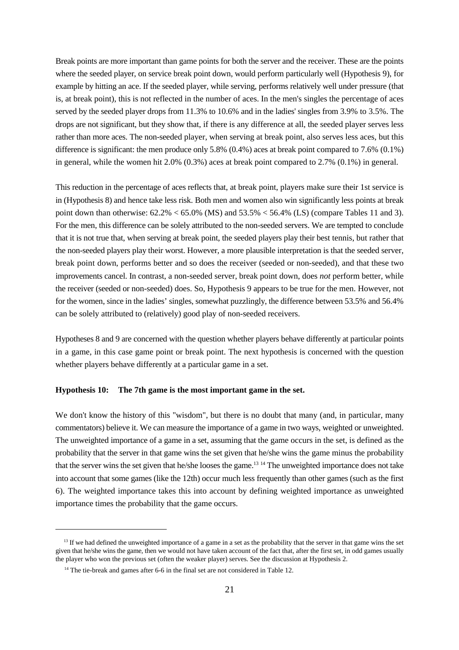Break points are more important than game points for both the server and the receiver. These are the points where the seeded player, on service break point down, would perform particularly well (Hypothesis 9), for example by hitting an ace. If the seeded player, while serving, performs relatively well under pressure (that is, at break point), this is not reflected in the number of aces. In the men's singles the percentage of aces served by the seeded player drops from 11.3% to 10.6% and in the ladies' singles from 3.9% to 3.5%. The drops are not significant, but they show that, if there is any difference at all, the seeded player serves less rather than more aces. The non-seeded player, when serving at break point, also serves less aces, but this difference is significant: the men produce only 5.8% (0.4%) aces at break point compared to 7.6% (0.1%) in general, while the women hit 2.0% (0.3%) aces at break point compared to 2.7% (0.1%) in general.

This reduction in the percentage of aces reflects that, at break point, players make sure their 1st service is in (Hypothesis 8) and hence take less risk. Both men and women also win significantly less points at break point down than otherwise:  $62.2\% < 65.0\%$  (MS) and  $53.5\% < 56.4\%$  (LS) (compare Tables 11 and 3). For the men, this difference can be solely attributed to the non-seeded servers. We are tempted to conclude that it is not true that, when serving at break point, the seeded players play their best tennis, but rather that the non-seeded players play their worst. However, a more plausible interpretation is that the seeded server, break point down, performs better and so does the receiver (seeded or non-seeded), and that these two improvements cancel. In contrast, a non-seeded server, break point down, does *not* perform better, while the receiver (seeded or non-seeded) does. So, Hypothesis 9 appears to be true for the men. However, not for the women, since in the ladies' singles, somewhat puzzlingly, the difference between 53.5% and 56.4% can be solely attributed to (relatively) good play of non-seeded receivers.

Hypotheses 8 and 9 are concerned with the question whether players behave differently at particular points in a game, in this case game point or break point. The next hypothesis is concerned with the question whether players behave differently at a particular game in a set.

#### **Hypothesis 10: The 7th game is the most important game in the set.**

We don't know the history of this "wisdom", but there is no doubt that many (and, in particular, many commentators) believe it. We can measure the importance of a game in two ways, weighted or unweighted. The unweighted importance of a game in a set, assuming that the game occurs in the set, is defined as the probability that the server in that game wins the set given that he/she wins the game minus the probability that the server wins the set given that he/she looses the game.<sup>13 14</sup> The unweighted importance does not take into account that some games (like the 12th) occur much less frequently than other games (such as the first 6). The weighted importance takes this into account by defining weighted importance as unweighted importance times the probability that the game occurs.

 $<sup>13</sup>$  If we had defined the unweighted importance of a game in a set as the probability that the server in that game wins the set</sup> given that he/she wins the game, then we would not have taken account of the fact that, after the first set, in odd games usually the player who won the previous set (often the weaker player) serves. See the discussion at Hypothesis 2.

 $14$  The tie-break and games after 6-6 in the final set are not considered in Table 12.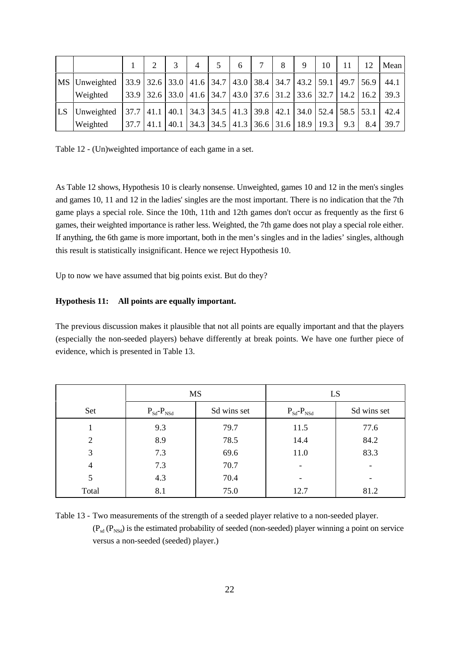|               | $\overline{2}$ | $\overline{4}$ | 6 | $\tau$ | 8                                                                     | 9 | 10 | 11                                                                                                                                                          | 12  | Mean |
|---------------|----------------|----------------|---|--------|-----------------------------------------------------------------------|---|----|-------------------------------------------------------------------------------------------------------------------------------------------------------------|-----|------|
| MS Unweighted |                |                |   |        |                                                                       |   |    | 33.9   32.6   33.0   41.6   34.7   43.0   38.4   34.7   43.2   59.1   49.7   56.9                                                                           |     | 44.1 |
| Weighted      |                |                |   |        |                                                                       |   |    | 33.9 32.6 33.0 41.6 34.7 43.0 37.6 31.2 33.6 32.7 14.2 16.2 39.3                                                                                            |     |      |
| LS Unweighted |                |                |   |        |                                                                       |   |    | $\vert$ 37.7 $\vert$ 41.1 $\vert$ 40.1 $\vert$ 34.3 $\vert$ 34.5 $\vert$ 41.3 $\vert$ 39.8 $\vert$ 42.1 $\vert$ 34.0 $\vert$ 52.4 $\vert$ 58.5 $\vert$ 53.1 |     | 42.4 |
| Weighted      |                |                |   |        | $37.7$   41.1   40.1   34.3   34.5   41.3   36.6   31.6   18.9   19.3 |   |    | $9.3 \perp$                                                                                                                                                 | 8.4 | 39.7 |

Table 12 - (Un)weighted importance of each game in a set.

As Table 12 shows, Hypothesis 10 is clearly nonsense. Unweighted, games 10 and 12 in the men's singles and games 10, 11 and 12 in the ladies' singles are the most important. There is no indication that the 7th game plays a special role. Since the 10th, 11th and 12th games don't occur as frequently as the first 6 games, their weighted importance is rather less. Weighted, the 7th game does not play a special role either. If anything, the 6th game is more important, both in the men's singles and in the ladies' singles, although this result is statistically insignificant. Hence we reject Hypothesis 10.

Up to now we have assumed that big points exist. But do they?

#### **Hypothesis 11: All points are equally important.**

The previous discussion makes it plausible that not all points are equally important and that the players (especially the non-seeded players) behave differently at break points. We have one further piece of evidence, which is presented in Table 13.

|                | <b>MS</b>                          |             | LS                                 |                          |
|----------------|------------------------------------|-------------|------------------------------------|--------------------------|
| Set            | $P_{\text{Sd}}$ - $P_{\text{NSd}}$ | Sd wins set | $P_{\text{Sd}}$ - $P_{\text{NSd}}$ | Sd wins set              |
|                | 9.3                                | 79.7        | 11.5                               | 77.6                     |
| $\overline{2}$ | 8.9                                | 78.5        | 14.4                               | 84.2                     |
| 3              | 7.3                                | 69.6        | 11.0                               | 83.3                     |
| 4              | 7.3                                | 70.7        | $\overline{\phantom{a}}$           | $\overline{\phantom{a}}$ |
| 5              | 4.3                                | 70.4        |                                    |                          |
| Total          | 8.1                                | 75.0        | 12.7                               | 81.2                     |

Table 13 - Two measurements of the strength of a seeded player relative to a non-seeded player.  $(P_{\rm ad} (P_{\rm NSd})$  is the estimated probability of seeded (non-seeded) player winning a point on service versus a non-seeded (seeded) player.)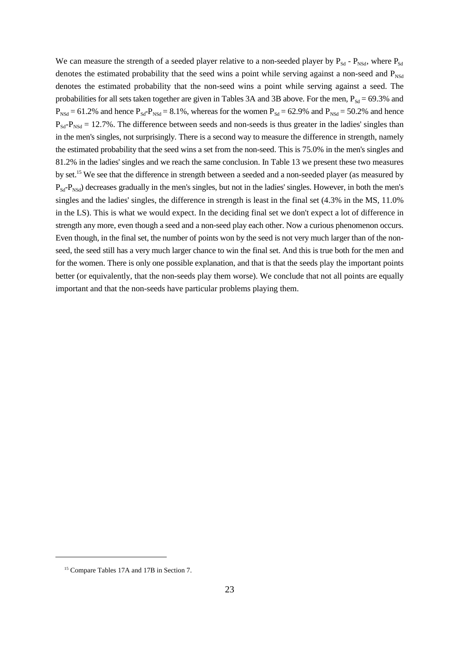We can measure the strength of a seeded player relative to a non-seeded player by  $P_{Sd}$  -  $P_{NSd}$ , where  $P_{Sd}$ denotes the estimated probability that the seed wins a point while serving against a non-seed and  $P_{NSd}$ denotes the estimated probability that the non-seed wins a point while serving against a seed. The probabilities for all sets taken together are given in Tables 3A and 3B above. For the men,  $P_{\rm sd} = 69.3\%$  and  $P_{NSd} = 61.2\%$  and hence  $P_{SG}P_{NSd} = 8.1\%$ , whereas for the women  $P_{Sd} = 62.9\%$  and  $P_{NSd} = 50.2\%$  and hence  $P_{\text{Sd}}$ - $P_{\text{NSd}}$  = 12.7%. The difference between seeds and non-seeds is thus greater in the ladies' singles than in the men's singles, not surprisingly. There is a second way to measure the difference in strength, namely the estimated probability that the seed wins a set from the non-seed. This is 75.0% in the men's singles and 81.2% in the ladies' singles and we reach the same conclusion. In Table 13 we present these two measures by set.<sup>15</sup> We see that the difference in strength between a seeded and a non-seeded player (as measured by  $P_{\text{Sd}}$ - $P_{\text{NSd}}$ ) decreases gradually in the men's singles, but not in the ladies' singles. However, in both the men's singles and the ladies' singles, the difference in strength is least in the final set (4.3% in the MS, 11.0% in the LS). This is what we would expect. In the deciding final set we don't expect a lot of difference in strength any more, even though a seed and a non-seed play each other. Now a curious phenomenon occurs. Even though, in the final set, the number of points won by the seed is not very much larger than of the nonseed, the seed still has a very much larger chance to win the final set. And this is true both for the men and for the women. There is only one possible explanation, and that is that the seeds play the important points better (or equivalently, that the non-seeds play them worse). We conclude that not all points are equally important and that the non-seeds have particular problems playing them.

<sup>&</sup>lt;sup>15</sup> Compare Tables 17A and 17B in Section 7.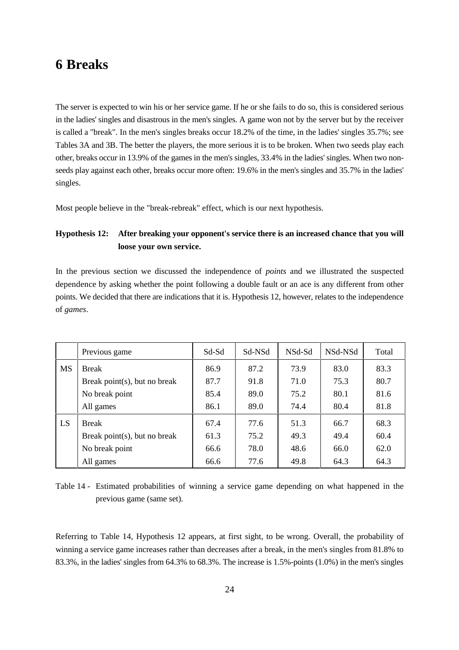### **6 Breaks**

The server is expected to win his or her service game. If he or she fails to do so, this is considered serious in the ladies' singles and disastrous in the men's singles. A game won not by the server but by the receiver is called a "break". In the men's singles breaks occur 18.2% of the time, in the ladies' singles 35.7%; see Tables 3A and 3B. The better the players, the more serious it is to be broken. When two seeds play each other, breaks occur in 13.9% of the games in the men's singles, 33.4% in the ladies' singles. When two nonseeds play against each other, breaks occur more often: 19.6% in the men's singles and 35.7% in the ladies' singles.

Most people believe in the "break-rebreak" effect, which is our next hypothesis.

### **Hypothesis 12: After breaking your opponent's service there is an increased chance that you will loose your own service.**

In the previous section we discussed the independence of *points* and we illustrated the suspected dependence by asking whether the point following a double fault or an ace is any different from other points. We decided that there are indications that it is. Hypothesis 12, however, relates to the independence of *games*.

|           | Previous game                | Sd-Sd | Sd-NSd | NSd-Sd | NSd-NSd | Total |
|-----------|------------------------------|-------|--------|--------|---------|-------|
| <b>MS</b> | <b>Break</b>                 | 86.9  | 87.2   | 73.9   | 83.0    | 83.3  |
|           | Break point(s), but no break | 87.7  | 91.8   | 71.0   | 75.3    | 80.7  |
|           | No break point               | 85.4  | 89.0   | 75.2   | 80.1    | 81.6  |
|           | All games                    | 86.1  | 89.0   | 74.4   | 80.4    | 81.8  |
| LS        | <b>Break</b>                 | 67.4  | 77.6   | 51.3   | 66.7    | 68.3  |
|           | Break point(s), but no break | 61.3  | 75.2   | 49.3   | 49.4    | 60.4  |
|           | No break point               | 66.6  | 78.0   | 48.6   | 66.0    | 62.0  |
|           | All games                    | 66.6  | 77.6   | 49.8   | 64.3    | 64.3  |

Table 14 - Estimated probabilities of winning a service game depending on what happened in the previous game (same set).

Referring to Table 14, Hypothesis 12 appears, at first sight, to be wrong. Overall, the probability of winning a service game increases rather than decreases after a break, in the men's singles from 81.8% to 83.3%, in the ladies' singles from 64.3% to 68.3%. The increase is 1.5%-points (1.0%) in the men's singles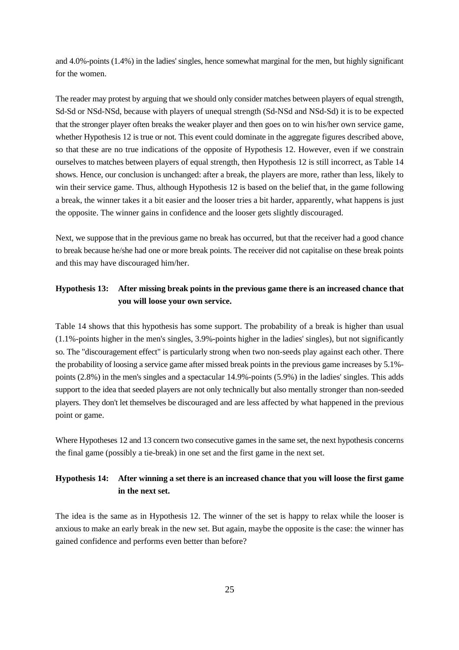and 4.0%-points (1.4%) in the ladies' singles, hence somewhat marginal for the men, but highly significant for the women.

The reader may protest by arguing that we should only consider matches between players of equal strength, Sd-Sd or NSd-NSd, because with players of unequal strength (Sd-NSd and NSd-Sd) it is to be expected that the stronger player often breaks the weaker player and then goes on to win his/her own service game, whether Hypothesis 12 is true or not. This event could dominate in the aggregate figures described above, so that these are no true indications of the opposite of Hypothesis 12. However, even if we constrain ourselves to matches between players of equal strength, then Hypothesis 12 is still incorrect, as Table 14 shows. Hence, our conclusion is unchanged: after a break, the players are more, rather than less, likely to win their service game. Thus, although Hypothesis 12 is based on the belief that, in the game following a break, the winner takes it a bit easier and the looser tries a bit harder, apparently, what happens is just the opposite. The winner gains in confidence and the looser gets slightly discouraged.

Next, we suppose that in the previous game no break has occurred, but that the receiver had a good chance to break because he/she had one or more break points. The receiver did not capitalise on these break points and this may have discouraged him/her.

### **Hypothesis 13: After missing break points in the previous game there is an increased chance that you will loose your own service.**

Table 14 shows that this hypothesis has some support. The probability of a break is higher than usual (1.1%-points higher in the men's singles, 3.9%-points higher in the ladies' singles), but not significantly so. The "discouragement effect" is particularly strong when two non-seeds play against each other. There the probability of loosing a service game after missed break points in the previous game increases by 5.1% points (2.8%) in the men's singles and a spectacular 14.9%-points (5.9%) in the ladies' singles. This adds support to the idea that seeded players are not only technically but also mentally stronger than non-seeded players. They don't let themselves be discouraged and are less affected by what happened in the previous point or game.

Where Hypotheses 12 and 13 concern two consecutive games in the same set, the next hypothesis concerns the final game (possibly a tie-break) in one set and the first game in the next set.

### **Hypothesis 14: After winning a set there is an increased chance that you will loose the first game in the next set.**

The idea is the same as in Hypothesis 12. The winner of the set is happy to relax while the looser is anxious to make an early break in the new set. But again, maybe the opposite is the case: the winner has gained confidence and performs even better than before?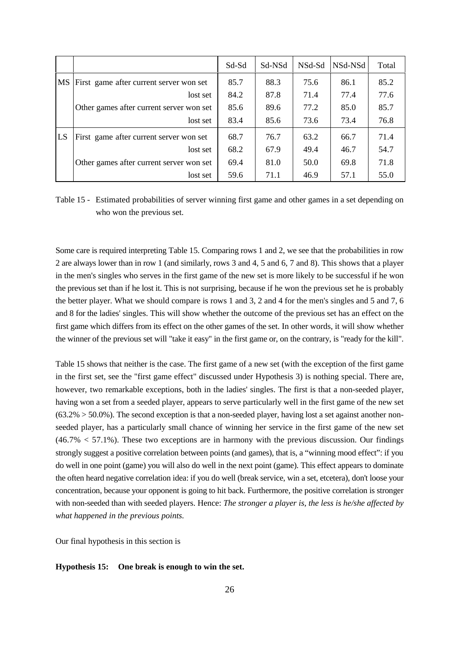|    |                                          | Sd-Sd | Sd-NSd | NSd-Sd | NSd-NSd | Total |
|----|------------------------------------------|-------|--------|--------|---------|-------|
| MS | First game after current server won set  | 85.7  | 88.3   | 75.6   | 86.1    | 85.2  |
|    | lost set                                 | 84.2  | 87.8   | 71.4   | 77.4    | 77.6  |
|    | Other games after current server won set | 85.6  | 89.6   | 77.2   | 85.0    | 85.7  |
|    | lost set                                 | 83.4  | 85.6   | 73.6   | 73.4    | 76.8  |
| LS | First game after current server won set  | 68.7  | 76.7   | 63.2   | 66.7    | 71.4  |
|    | lost set                                 | 68.2  | 67.9   | 49.4   | 46.7    | 54.7  |
|    | Other games after current server won set | 69.4  | 81.0   | 50.0   | 69.8    | 71.8  |
|    | lost set                                 | 59.6  | 71.1   | 46.9   | 57.1    | 55.0  |

Table 15 - Estimated probabilities of server winning first game and other games in a set depending on who won the previous set.

Some care is required interpreting Table 15. Comparing rows 1 and 2, we see that the probabilities in row 2 are always lower than in row 1 (and similarly, rows 3 and 4, 5 and 6, 7 and 8). This shows that a player in the men's singles who serves in the first game of the new set is more likely to be successful if he won the previous set than if he lost it. This is not surprising, because if he won the previous set he is probably the better player. What we should compare is rows 1 and 3, 2 and 4 for the men's singles and 5 and 7, 6 and 8 for the ladies' singles. This will show whether the outcome of the previous set has an effect on the first game which differs from its effect on the other games of the set. In other words, it will show whether the winner of the previous set will "take it easy" in the first game or, on the contrary, is "ready for the kill".

Table 15 shows that neither is the case. The first game of a new set (with the exception of the first game in the first set, see the "first game effect" discussed under Hypothesis 3) is nothing special. There are, however, two remarkable exceptions, both in the ladies' singles. The first is that a non-seeded player, having won a set from a seeded player, appears to serve particularly well in the first game of the new set  $(63.2\% > 50.0\%)$ . The second exception is that a non-seeded player, having lost a set against another nonseeded player, has a particularly small chance of winning her service in the first game of the new set  $(46.7\% < 57.1\%)$ . These two exceptions are in harmony with the previous discussion. Our findings strongly suggest a positive correlation between points (and games), that is, a "winning mood effect": if you do well in one point (game) you will also do well in the next point (game). This effect appears to dominate the often heard negative correlation idea: if you do well (break service, win a set, etcetera), don't loose your concentration, because your opponent is going to hit back. Furthermore, the positive correlation is stronger with non-seeded than with seeded players. Hence: *The stronger a player is, the less is he/she affected by what happened in the previous points.*

Our final hypothesis in this section is

#### **Hypothesis 15: One break is enough to win the set.**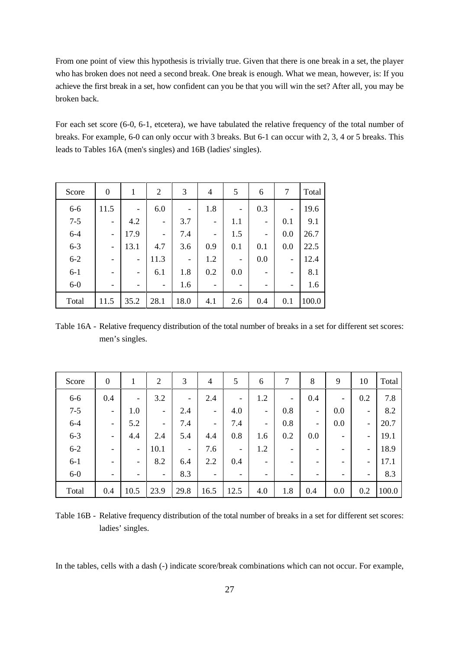From one point of view this hypothesis is trivially true. Given that there is one break in a set, the player who has broken does not need a second break. One break is enough. What we mean, however, is: If you achieve the first break in a set, how confident can you be that you will win the set? After all, you may be broken back.

For each set score (6-0, 6-1, etcetera), we have tabulated the relative frequency of the total number of breaks. For example, 6-0 can only occur with 3 breaks. But 6-1 can occur with 2, 3, 4 or 5 breaks. This leads to Tables 16A (men's singles) and 16B (ladies' singles).

| Score   | $\boldsymbol{0}$             | 1                        | $\overline{2}$           | 3                        | 4   | 5                        | 6                        | 7                        | Total |
|---------|------------------------------|--------------------------|--------------------------|--------------------------|-----|--------------------------|--------------------------|--------------------------|-------|
| $6 - 6$ | 11.5                         | $\overline{\phantom{0}}$ | 6.0                      | $\overline{\phantom{0}}$ | 1.8 | $\qquad \qquad$          | 0.3                      | $\overline{\phantom{0}}$ | 19.6  |
| $7 - 5$ | -                            | 4.2                      |                          | 3.7                      | -   | 1.1                      | $\overline{\phantom{a}}$ | 0.1                      | 9.1   |
| $6 - 4$ | $\overline{\phantom{0}}$     | 17.9                     | $\overline{\phantom{0}}$ | 7.4                      | -   | 1.5                      | $\overline{\phantom{a}}$ | 0.0                      | 26.7  |
| $6 - 3$ | $\overline{\phantom{0}}$     | 13.1                     | 4.7                      | 3.6                      | 0.9 | 0.1                      | 0.1                      | 0.0                      | 22.5  |
| $6 - 2$ | $\qquad \qquad \blacksquare$ | $\overline{\phantom{0}}$ | 11.3                     | $\overline{\phantom{0}}$ | 1.2 |                          | 0.0                      | -                        | 12.4  |
| $6 - 1$ | $\qquad \qquad \blacksquare$ |                          | 6.1                      | 1.8                      | 0.2 | 0.0                      | $\overline{\phantom{a}}$ | $\qquad \qquad -$        | 8.1   |
| $6-0$   | -                            |                          |                          | 1.6                      | -   | $\overline{\phantom{0}}$ | -                        | $\overline{\phantom{0}}$ | 1.6   |
| Total   | 11.5                         | 35.2                     | 28.1                     | 18.0                     | 4.1 | 2.6                      | 0.4                      | 0.1                      | 100.0 |

Table 16A - Relative frequency distribution of the total number of breaks in a set for different set scores: men's singles.

| Score   | $\boldsymbol{0}$         | 1                        | $\overline{2}$           | 3                        | 4                        | 5                        | 6                        | 7   | 8                        | 9                 | 10                       | Total |
|---------|--------------------------|--------------------------|--------------------------|--------------------------|--------------------------|--------------------------|--------------------------|-----|--------------------------|-------------------|--------------------------|-------|
| $6-6$   | 0.4                      | $\overline{\phantom{a}}$ | 3.2                      | $\overline{\phantom{0}}$ | 2.4                      | -                        | 1.2                      | -   | 0.4                      | $\qquad \qquad -$ | 0.2                      | 7.8   |
| $7 - 5$ | $\overline{\phantom{a}}$ | 1.0                      | $\overline{\phantom{a}}$ | 2.4                      | $\overline{\phantom{a}}$ | 4.0                      | $\overline{\phantom{a}}$ | 0.8 | $\overline{\phantom{a}}$ | 0.0               | $\overline{\phantom{a}}$ | 8.2   |
| $6 - 4$ | $\overline{\phantom{a}}$ | 5.2                      | $\overline{\phantom{a}}$ | 7.4                      | $\overline{\phantom{a}}$ | 7.4                      | $\overline{\phantom{a}}$ | 0.8 | $\overline{\phantom{a}}$ | 0.0               | $\overline{\phantom{a}}$ | 20.7  |
| $6 - 3$ | $\overline{\phantom{a}}$ | 4.4                      | 2.4                      | 5.4                      | 4.4                      | 0.8                      | 1.6                      | 0.2 | 0.0                      | -                 | $\overline{\phantom{0}}$ | 19.1  |
| $6 - 2$ | $\overline{\phantom{a}}$ | $\overline{\phantom{a}}$ | 10.1                     | $\overline{\phantom{a}}$ | 7.6                      | $\overline{\phantom{a}}$ | 1.2                      | -   | $\overline{\phantom{a}}$ | -                 | $\qquad \qquad -$        | 18.9  |
| $6 - 1$ | $\overline{\phantom{a}}$ | $\overline{\phantom{a}}$ | 8.2                      | 6.4                      | 2.2                      | 0.4                      | $\overline{\phantom{a}}$ | -   | -                        | -                 | $\overline{\phantom{0}}$ | 17.1  |
| $6-0$   | $\overline{\phantom{a}}$ | -                        | $\overline{\phantom{a}}$ | 8.3                      | $\overline{\phantom{a}}$ | ۰                        | $\overline{\phantom{a}}$ |     | $\overline{\phantom{a}}$ | -                 | $\overline{\phantom{a}}$ | 8.3   |
| Total   | 0.4                      | 10.5                     | 23.9                     | 29.8                     | 16.5                     | 12.5                     | 4.0                      | 1.8 | 0.4                      | 0.0               | 0.2                      | 100.0 |

Table 16B - Relative frequency distribution of the total number of breaks in a set for different set scores: ladies' singles.

In the tables, cells with a dash (-) indicate score/break combinations which can not occur. For example,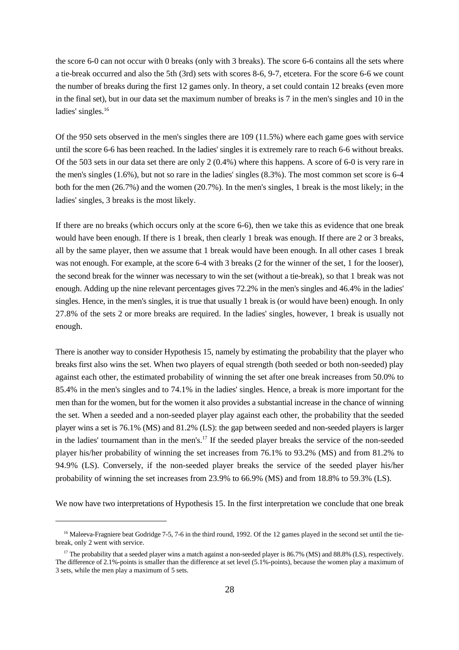the score 6-0 can not occur with 0 breaks (only with 3 breaks). The score 6-6 contains all the sets where a tie-break occurred and also the 5th (3rd) sets with scores 8-6, 9-7, etcetera. For the score 6-6 we count the number of breaks during the first 12 games only. In theory, a set could contain 12 breaks (even more in the final set), but in our data set the maximum number of breaks is 7 in the men's singles and 10 in the ladies' singles.<sup>16</sup>

Of the 950 sets observed in the men's singles there are 109 (11.5%) where each game goes with service until the score 6-6 has been reached. In the ladies' singles it is extremely rare to reach 6-6 without breaks. Of the 503 sets in our data set there are only 2 (0.4%) where this happens. A score of 6-0 is very rare in the men's singles (1.6%), but not so rare in the ladies' singles (8.3%). The most common set score is 6-4 both for the men (26.7%) and the women (20.7%). In the men's singles, 1 break is the most likely; in the ladies' singles, 3 breaks is the most likely.

If there are no breaks (which occurs only at the score 6-6), then we take this as evidence that one break would have been enough. If there is 1 break, then clearly 1 break was enough. If there are 2 or 3 breaks, all by the same player, then we assume that 1 break would have been enough. In all other cases 1 break was not enough. For example, at the score 6-4 with 3 breaks (2 for the winner of the set, 1 for the looser), the second break for the winner was necessary to win the set (without a tie-break), so that 1 break was not enough. Adding up the nine relevant percentages gives 72.2% in the men's singles and 46.4% in the ladies' singles. Hence, in the men's singles, it is true that usually 1 break is (or would have been) enough. In only 27.8% of the sets 2 or more breaks are required. In the ladies' singles, however, 1 break is usually not enough.

There is another way to consider Hypothesis 15, namely by estimating the probability that the player who breaks first also wins the set. When two players of equal strength (both seeded or both non-seeded) play against each other, the estimated probability of winning the set after one break increases from 50.0% to 85.4% in the men's singles and to 74.1% in the ladies' singles. Hence, a break is more important for the men than for the women, but for the women it also provides a substantial increase in the chance of winning the set. When a seeded and a non-seeded player play against each other, the probability that the seeded player wins a set is 76.1% (MS) and 81.2% (LS): the gap between seeded and non-seeded players is larger in the ladies' tournament than in the men's.<sup>17</sup> If the seeded player breaks the service of the non-seeded player his/her probability of winning the set increases from 76.1% to 93.2% (MS) and from 81.2% to 94.9% (LS). Conversely, if the non-seeded player breaks the service of the seeded player his/her probability of winning the set increases from 23.9% to 66.9% (MS) and from 18.8% to 59.3% (LS).

We now have two interpretations of Hypothesis 15. In the first interpretation we conclude that one break

<sup>&</sup>lt;sup>16</sup> Maleeva-Fragniere beat Godridge 7-5, 7-6 in the third round, 1992. Of the 12 games played in the second set until the tiebreak, only 2 went with service.

<sup>&</sup>lt;sup>17</sup> The probability that a seeded player wins a match against a non-seeded player is  $86.7\%$  (MS) and  $88.8\%$  (LS), respectively. The difference of 2.1%-points is smaller than the difference at set level (5.1%-points), because the women play a maximum of 3 sets, while the men play a maximum of 5 sets.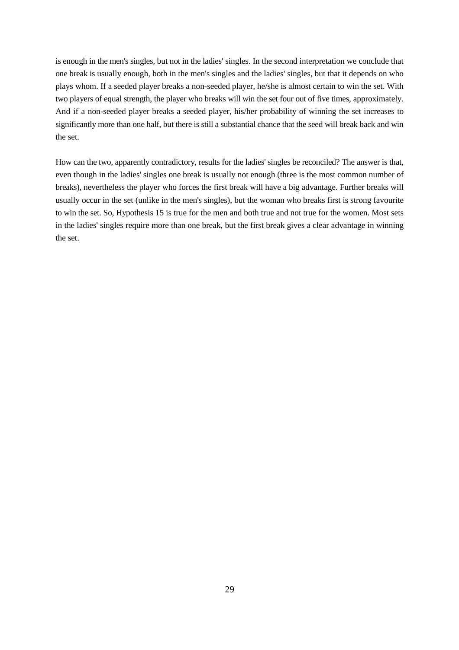is enough in the men's singles, but not in the ladies' singles. In the second interpretation we conclude that one break is usually enough, both in the men's singles and the ladies' singles, but that it depends on who plays whom. If a seeded player breaks a non-seeded player, he/she is almost certain to win the set. With two players of equal strength, the player who breaks will win the set four out of five times, approximately. And if a non-seeded player breaks a seeded player, his/her probability of winning the set increases to significantly more than one half, but there is still a substantial chance that the seed will break back and win the set.

How can the two, apparently contradictory, results for the ladies' singles be reconciled? The answer is that, even though in the ladies' singles one break is usually not enough (three is the most common number of breaks), nevertheless the player who forces the first break will have a big advantage. Further breaks will usually occur in the set (unlike in the men's singles), but the woman who breaks first is strong favourite to win the set. So, Hypothesis 15 is true for the men and both true and not true for the women. Most sets in the ladies' singles require more than one break, but the first break gives a clear advantage in winning the set.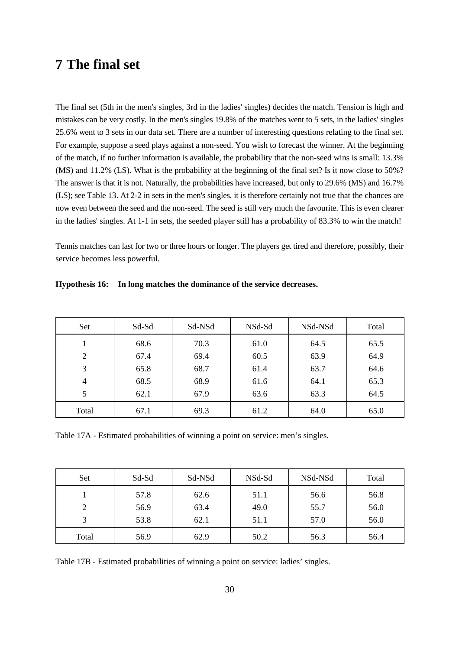### **7 The final set**

The final set (5th in the men's singles, 3rd in the ladies' singles) decides the match. Tension is high and mistakes can be very costly. In the men's singles 19.8% of the matches went to 5 sets, in the ladies' singles 25.6% went to 3 sets in our data set. There are a number of interesting questions relating to the final set. For example, suppose a seed plays against a non-seed. You wish to forecast the winner. At the beginning of the match, if no further information is available, the probability that the non-seed wins is small: 13.3% (MS) and 11.2% (LS). What is the probability at the beginning of the final set? Is it now close to 50%? The answer is that it is not. Naturally, the probabilities have increased, but only to 29.6% (MS) and 16.7% (LS); see Table 13. At 2-2 in sets in the men's singles, it is therefore certainly not true that the chances are now even between the seed and the non-seed. The seed is still very much the favourite. This is even clearer in the ladies' singles. At 1-1 in sets, the seeded player still has a probability of 83.3% to win the match!

Tennis matches can last for two or three hours or longer. The players get tired and therefore, possibly, their service becomes less powerful.

| Set            | Sd-Sd | Sd-NSd | NSd-Sd | NSd-NSd | Total |
|----------------|-------|--------|--------|---------|-------|
|                | 68.6  | 70.3   | 61.0   | 64.5    | 65.5  |
| $\overline{2}$ | 67.4  | 69.4   | 60.5   | 63.9    | 64.9  |
| 3              | 65.8  | 68.7   | 61.4   | 63.7    | 64.6  |
| $\overline{4}$ | 68.5  | 68.9   | 61.6   | 64.1    | 65.3  |
| 5              | 62.1  | 67.9   | 63.6   | 63.3    | 64.5  |
| Total          | 67.1  | 69.3   | 61.2   | 64.0    | 65.0  |

**Hypothesis 16: In long matches the dominance of the service decreases.**

Table 17A - Estimated probabilities of winning a point on service: men's singles.

| Set            | Sd-Sd | Sd-NSd | NSd-Sd | NSd-NSd | Total |
|----------------|-------|--------|--------|---------|-------|
|                | 57.8  | 62.6   | 51.1   | 56.6    | 56.8  |
| $\overline{2}$ | 56.9  | 63.4   | 49.0   | 55.7    | 56.0  |
| 3              | 53.8  | 62.1   | 51.1   | 57.0    | 56.0  |
| Total          | 56.9  | 62.9   | 50.2   | 56.3    | 56.4  |

Table 17B - Estimated probabilities of winning a point on service: ladies' singles.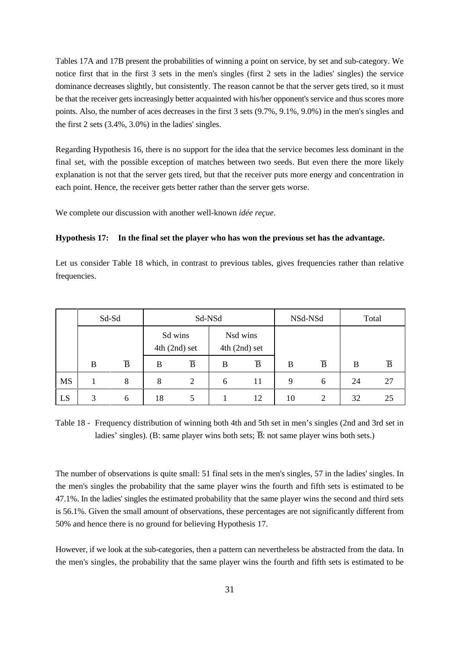Tables 17A and 17B present the probabilities of winning a point on service, by set and sub-category. We notice first that in the first 3 sets in the men's singles (first 2 sets in the ladies' singles) the service dominance decreases slightly, but consistently. The reason cannot be that the server gets tired, so it must be that the receiver gets increasingly better acquainted with his/her opponent's service and thus scores more points. Also, the number of aces decreases in the first 3 sets (9.7%, 9.1%, 9.0%) in the men's singles and the first 2 sets (3.4%, 3.0%) in the ladies' singles.

Regarding Hypothesis 16, there is no support for the idea that the service becomes less dominant in the final set, with the possible exception of matches between two seeds. But even there the more likely explanation is not that the server gets tired, but that the receiver puts more energy and concentration in each point. Hence, the receiver gets better rather than the server gets worse.

#### **Hypothesis 17: In the final set the player who has won the previous set has the advantage.**

|              |                       |                |    | each point. Hence, the receiver gets better rather than the server gets worse. |              |                 |         |                | explanation is not that the server gets tired, but that the receiver puts more energy and concentration in |                |
|--------------|-----------------------|----------------|----|--------------------------------------------------------------------------------|--------------|-----------------|---------|----------------|------------------------------------------------------------------------------------------------------------|----------------|
|              |                       |                |    | We complete our discussion with another well-known <i>idée reçue</i> .         |              |                 |         |                |                                                                                                            |                |
|              | <b>Hypothesis 17:</b> |                |    |                                                                                |              |                 |         |                | In the final set the player who has won the previous set has the advantage.                                |                |
| frequencies. |                       |                |    |                                                                                |              |                 |         |                | Let us consider Table 18 which, in contrast to previous tables, gives frequencies rather than relative     |                |
|              |                       | Sd-Sd          |    | Sd-NSd<br>Sd wins                                                              |              | Nsd wins        | NSd-NSd |                |                                                                                                            | Total          |
|              |                       |                |    | $4th$ (2nd) set                                                                |              | $4th$ (2nd) set |         |                |                                                                                                            |                |
|              | B                     | $\overline{B}$ | B  | $\overline{B}$                                                                 | B            | $\overline{B}$  | B       | $\overline{B}$ | $\bf{B}$                                                                                                   | $\overline{B}$ |
| MS           | 1                     | 8              | 8  | $\overline{2}$                                                                 | 6            | 11              | 9       | 6              | 24                                                                                                         | 27             |
| LS           | 3                     | 6              | 18 | 5                                                                              | $\mathbf{1}$ | 12              | 10      | $\overline{2}$ | 32                                                                                                         | 25             |

Table 18 - Frequency distribution of winning both 4th and 5th set in men's singles (2nd and 3rd set in

The number of observations is quite small: 51 final sets in the men's singles, 57 in the ladies' singles. In the men's singles the probability that the same player wins the fourth and fifth sets is estimated to be 47.1%. In the ladies' singles the estimated probability that the same player wins the second and third sets is 56.1%. Given the small amount of observations, these percentages are not significantly different from 50% and hence there is no ground for believing Hypothesis 17.

However, if we look at the sub-categories, then a pattern can nevertheless be abstracted from the data. In the men's singles, the probability that the same player wins the fourth and fifth sets is estimated to be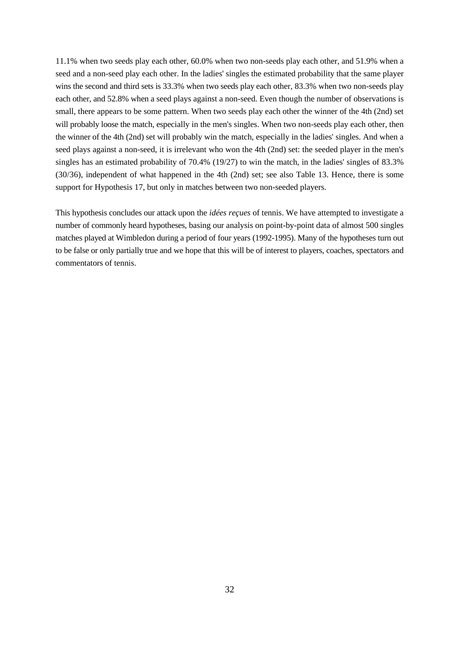11.1% when two seeds play each other, 60.0% when two non-seeds play each other, and 51.9% when a seed and a non-seed play each other. In the ladies' singles the estimated probability that the same player wins the second and third sets is 33.3% when two seeds play each other, 83.3% when two non-seeds play each other, and 52.8% when a seed plays against a non-seed. Even though the number of observations is small, there appears to be some pattern. When two seeds play each other the winner of the 4th (2nd) set will probably loose the match, especially in the men's singles. When two non-seeds play each other, then the winner of the 4th (2nd) set will probably win the match, especially in the ladies' singles. And when a seed plays against a non-seed, it is irrelevant who won the 4th (2nd) set: the seeded player in the men's singles has an estimated probability of 70.4% (19/27) to win the match, in the ladies' singles of 83.3% (30/36), independent of what happened in the 4th (2nd) set; see also Table 13. Hence, there is some support for Hypothesis 17, but only in matches between two non-seeded players.

This hypothesis concludes our attack upon the *idées reçues* of tennis. We have attempted to investigate a number of commonly heard hypotheses, basing our analysis on point-by-point data of almost 500 singles matches played at Wimbledon during a period of four years (1992-1995). Many of the hypotheses turn out to be false or only partially true and we hope that this will be of interest to players, coaches, spectators and commentators of tennis.